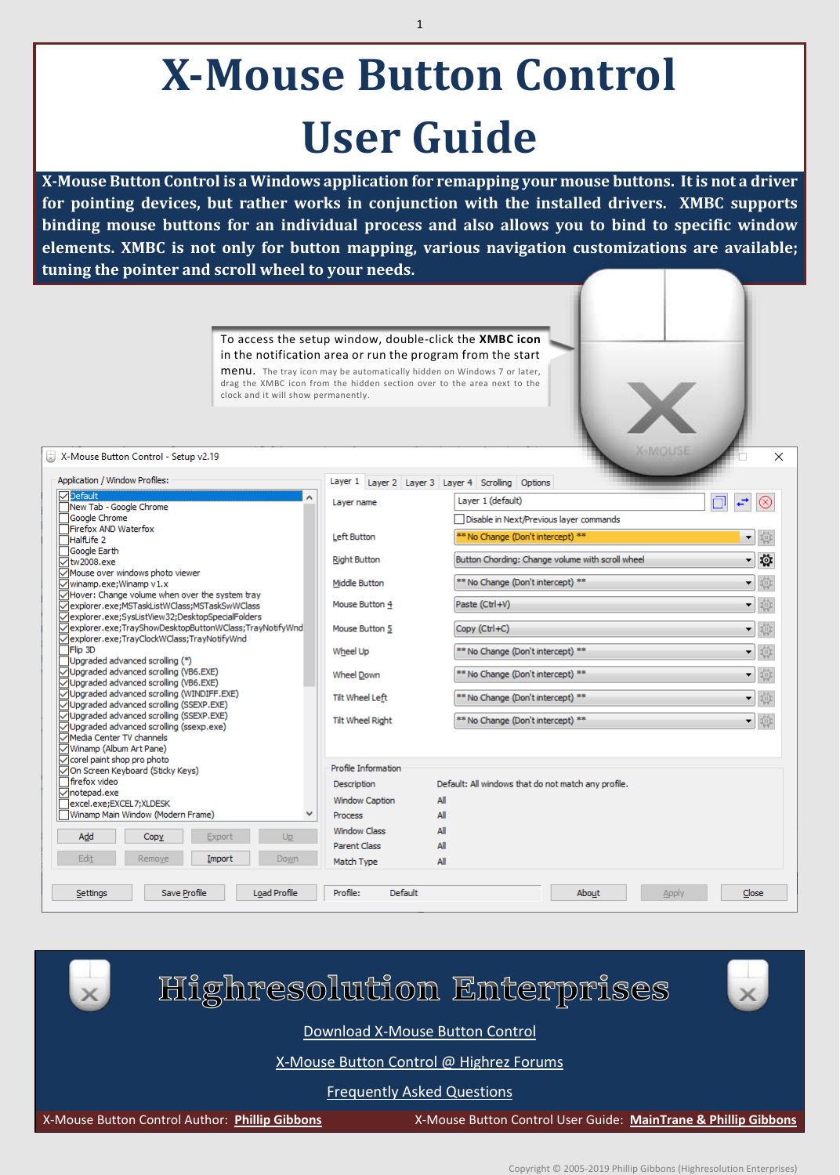# **X-Mouse Button Control User Guide**

**X-Mouse Button Control is a Windows application for remapping your mouse buttons. It is not a driver for pointing devices, but rather works in conjunction with the installed drivers. XMBC supports binding mouse buttons for an individual process and also allows you to bind to specific window elements. XMBC is not only for button mapping, various navigation customizations are available; tuning the pointer and scroll wheel to your needs.**

> To access the setup window, double-click the **XMBC icon**  in the notification area or run the program from the start menu. The tray icon may be automatically hidden on Windows 7 or later, drag the XMBC icon from the hidden section over to the area next to the clock and it will show permanently.

#### X-Mouse Button Control - Setup v2.19

| Application / Window Profiles:                                            | Layer 1 Layer 2 Layer 3 Layer 4 Scrolling Options |                                                     |  |
|---------------------------------------------------------------------------|---------------------------------------------------|-----------------------------------------------------|--|
| $\nabla$ Default<br>New Tab - Google Chrome                               | Layer name                                        | Layer 1 (default)                                   |  |
| Google Chrome                                                             |                                                   | Disable in Next/Previous laver commands             |  |
| Firefox AND Waterfox                                                      |                                                   |                                                     |  |
| HalfLife 2                                                                | Left Button                                       | 尊<br>** No Change (Don't intercept) **<br>▼         |  |
| Google Earth                                                              |                                                   | Button Chording: Change volume with scroll wheel    |  |
| ▽ tw2008.exe                                                              | <b>Right Button</b>                               | 蓉<br>$\overline{\phantom{a}}$                       |  |
| ○Mouse over windows photo viewer<br>$\sqrt{}$ winamp.exe;Winamp v1.x      | Middle Button                                     | 章<br>** No Change (Don't intercept) **<br>۰.        |  |
| ○Hover: Change volume when over the system tray                           |                                                   |                                                     |  |
| ▽lexplorer.exe;MSTaskListWClass;MSTaskSwWClass                            | Mouse Button 4                                    | 章<br>Paste (Ctrl+V)<br>▼                            |  |
| ▽explorer.exe;SysListView32;DesktopSpecialFolders                         |                                                   |                                                     |  |
| √explorer.exe;TrayShowDesktopButtonWClass;TrayNotifyWnd                   | Mouse Button 5                                    | 章<br>Copy (Ctrl+C)<br>۰                             |  |
| ▽ explorer.exe;TrayClockWClass;TrayNotifyWnd                              |                                                   |                                                     |  |
| <b>TFlip 3D</b>                                                           | Wheel Up                                          | 章<br>** No Change (Don't intercept) **<br>۰         |  |
| Upgraded advanced scrolling (*)<br>√Upgraded advanced scrolling (VB6.EXE) |                                                   |                                                     |  |
| ○Upgraded advanced scrolling (VB6.EXE)                                    | Wheel Down                                        | 章<br>** No Change (Don't intercept) **<br>▼         |  |
| ○Upgraded advanced scrolling (WINDIFF.EXE)                                | <b>Tilt Wheel Left</b>                            | ** No Change (Don't intercept) **                   |  |
| √Upgraded advanced scrolling (SSEXP.EXE)                                  |                                                   | 章<br>▼                                              |  |
| ○Upgraded advanced scrolling (SSEXP.EXE)                                  | <b>Tilt Wheel Right</b>                           | 章<br>** No Change (Don't intercept) **<br>۰         |  |
| √Upgraded advanced scrolling (ssexp.exe)                                  |                                                   |                                                     |  |
| Media Center TV channels                                                  |                                                   |                                                     |  |
| √Winamp (Album Art Pane)<br>○ corel paint shop pro photo                  |                                                   |                                                     |  |
| √On Screen Keyboard (Sticky Keys)                                         | Profile Information                               |                                                     |  |
| firefox video                                                             | Description                                       | Default: All windows that do not match any profile. |  |
| ▽ notepad.exe                                                             |                                                   |                                                     |  |
| excel.exe;EXCEL7;XLDESK                                                   | All<br><b>Window Caption</b>                      |                                                     |  |
| Winamp Main Window (Modern Frame)                                         | All<br><b>Process</b>                             |                                                     |  |
| Add<br>Copy<br>Export<br>Up                                               | <b>Window Class</b><br>All                        |                                                     |  |
|                                                                           | <b>Parent Class</b><br>All                        |                                                     |  |
| Edit<br>Import<br>Remove<br>Down                                          | All<br>Match Type                                 |                                                     |  |
|                                                                           |                                                   |                                                     |  |
| Save Profile<br>Load Profile<br>Settings                                  | Default<br>Profile:                               | Close<br>About<br>Apply                             |  |



[Frequently Asked Questions](http://forums.highrez.co.uk/viewtopic.php?f=6&t=101)

X-Mouse Button Control Author: **[Phillip Gibbons](http://forums.highrez.co.uk/memberlist.php?mode=viewprofile&u=3)** X-Mouse Button Control User Guide: **[MainTrane](http://forums.highrez.co.uk/memberlist.php?mode=viewprofile&u=1624) & [Phillip Gibbons](http://forums.highrez.co.uk/memberlist.php?mode=viewprofile&u=3)**

 $\times$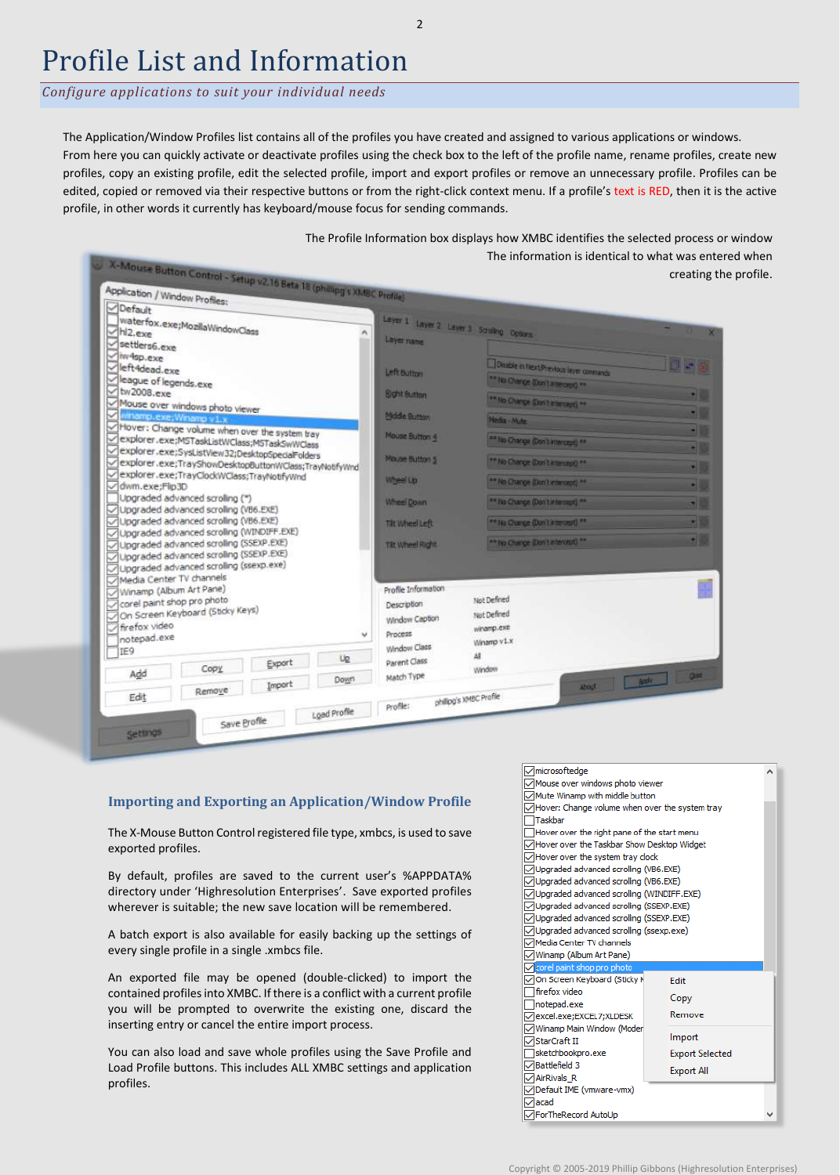### Profile List and Information

*Configure applications to suit your individual needs*

The Application/Window Profiles list contains all of the profiles you have created and assigned to various applications or windows. From here you can quickly activate or deactivate profiles using the check box to the left of the profile name, rename profiles, create new profiles, copy an existing profile, edit the selected profile, import and export profiles or remove an unnecessary profile. Profiles can be edited, copied or removed via their respective buttons or from the right-click context menu. If a profile's text is RED, then it is the active profile, in other words it currently has keyboard/mouse focus for sending commands.



### **Importing and Exporting an Application/Window Profile**

The X-Mouse Button Control registered file type, xmbcs, is used to save exported profiles.

By default, profiles are saved to the current user's %APPDATA% directory under 'Highresolution Enterprises'. Save exported profiles wherever is suitable; the new save location will be remembered.

A batch export is also available for easily backing up the settings of every single profile in a single .xmbcs file.

An exported file may be opened (double-clicked) to import the contained profiles into XMBC. If there is a conflict with a current profile you will be prompted to overwrite the existing one, discard the inserting entry or cancel the entire import process.

You can also load and save whole profiles using the Save Profile and Load Profile buttons. This includes ALL XMBC settings and application profiles.



2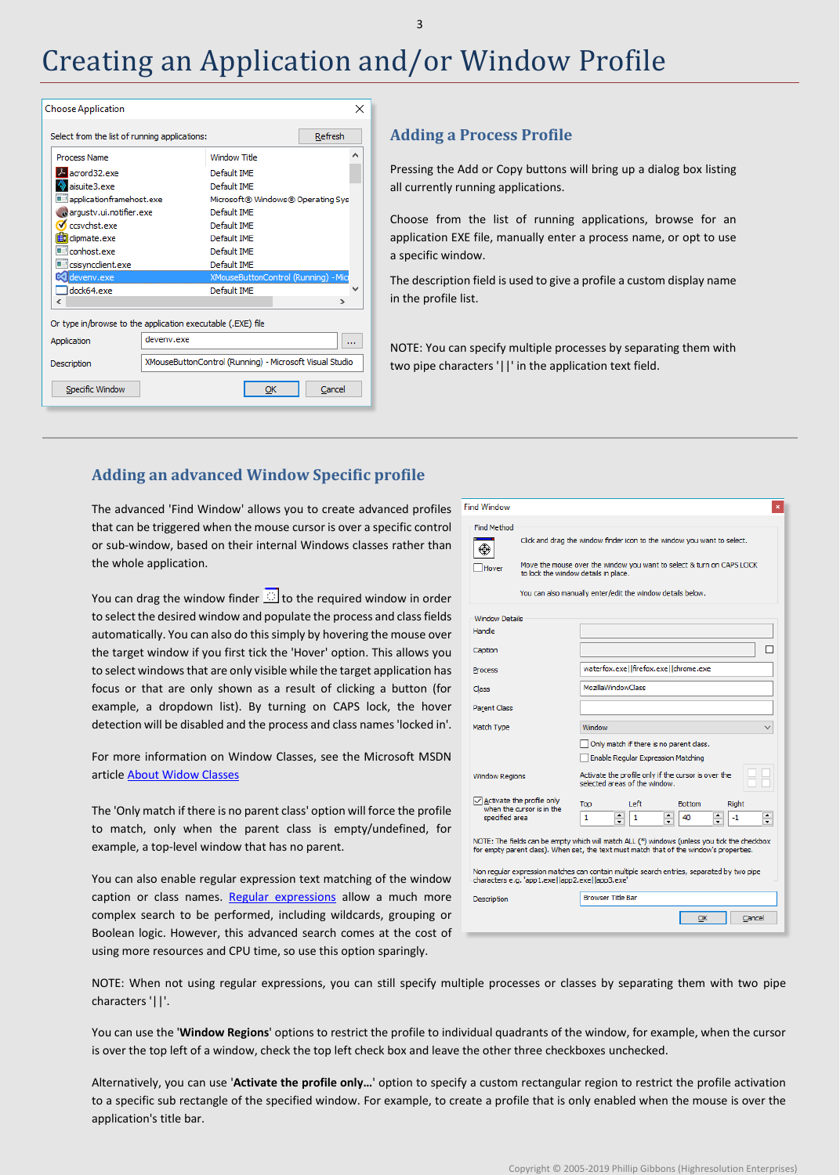### Creating an Application and/or Window Profile

| <b>Choose Application</b>                                   |            |                                                         | ×       |  |  |  |
|-------------------------------------------------------------|------------|---------------------------------------------------------|---------|--|--|--|
| Select from the list of running applications:               |            |                                                         | Refresh |  |  |  |
| Process Name                                                |            | Window Title                                            | Α       |  |  |  |
| A acrord32.exe                                              |            | Default IME                                             |         |  |  |  |
| aisuite3.exe                                                |            | Default IMF                                             |         |  |  |  |
| applicationframehost.exe                                    |            | Microsoft® Windows® Operating Sys                       |         |  |  |  |
| argustv.ui.notifier.exe                                     |            | Default IMF                                             |         |  |  |  |
| Cresvehst.exe                                               |            | Default IME                                             |         |  |  |  |
| dipmate.exe                                                 |            | Default IMF                                             |         |  |  |  |
| conhost.exe                                                 |            | Default IMF                                             |         |  |  |  |
| csisyncclient.exe                                           |            | Default IME                                             |         |  |  |  |
| devenv.exe                                                  |            | XMouseButtonControl (Running) - Mic                     |         |  |  |  |
| dock64.exe                                                  |            | Default IME                                             |         |  |  |  |
| ∢                                                           |            |                                                         | >       |  |  |  |
| Or type in/browse to the application executable (.EXE) file |            |                                                         |         |  |  |  |
| Application                                                 | deveny.exe |                                                         |         |  |  |  |
| Description                                                 |            | XMouseButtonControl (Running) - Microsoft Visual Studio |         |  |  |  |
| Specific Window                                             |            | ОΚ                                                      | Cancel  |  |  |  |
|                                                             |            |                                                         |         |  |  |  |

### **Adding a Process Profile**

Pressing the Add or Copy buttons will bring up a dialog box listing all currently running applications.

Choose from the list of running applications, browse for an application EXE file, manually enter a process name, or opt to use a specific window.

The description field is used to give a profile a custom display name in the profile list.

NOTE: You can specify multiple processes by separating them with two pipe characters '||' in the application text field.

### **Adding an advanced Window Specific profile**

The advanced 'Find Window' allows you to create advanced profiles that can be triggered when the mouse cursor is over a specific control or sub-window, based on their internal Windows classes rather than the whole application.

You can drag the window finder  $\mathbb{E}$  to the required window in order to select the desired window and populate the process and class fields automatically. You can also do this simply by hovering the mouse over the target window if you first tick the 'Hover' option. This allows you to select windows that are only visible while the target application has focus or that are only shown as a result of clicking a button (for example, a dropdown list). By turning on CAPS lock, the hover detection will be disabled and the process and class names 'locked in'.

For more information on Window Classes, see the Microsoft MSDN article [About Widow Classes](https://msdn.microsoft.com/en-us/library/windows/desktop/ms633574%28v=vs.85%29.aspx)

The 'Only match if there is no parent class' option will force the profile to match, only when the parent class is empty/undefined, for example, a top-level window that has no parent.

You can also enable regular expression text matching of the window caption or class names. [Regular expressions](https://en.wikipedia.org/wiki/Regular_expression) allow a much more complex search to be performed, including wildcards, grouping or Boolean logic. However, this advanced search comes at the cost of using more resources and CPU time, so use this option sparingly.

| <b>Find Method</b><br>Click and drag the window finder icon to the window you want to select.                                                                                                                                                                                                                                       |  |  |
|-------------------------------------------------------------------------------------------------------------------------------------------------------------------------------------------------------------------------------------------------------------------------------------------------------------------------------------|--|--|
| Move the mouse over the window you want to select & turn on CAPS LOCK<br>Hover<br>to lock the window details in place.<br>You can also manually enter/edit the window details below.                                                                                                                                                |  |  |
| <b>Window Details</b><br>Handle<br>Caption<br>waterfox.exe  firefox.exe  chrome.exe<br>Process<br><b>MozillaWindowClass</b><br>Class                                                                                                                                                                                                |  |  |
| Parent Class<br>Match Type<br>Window<br>Only match if there is no parent class.                                                                                                                                                                                                                                                     |  |  |
| Enable Regular Expression Matching<br>Activate the profile only if the cursor is over the<br><b>Window Regions</b><br>selected areas of the window.<br>$\sqrt{}$ Activate the profile only                                                                                                                                          |  |  |
| Left<br><b>Bottom</b><br>Right<br>Top<br>when the cursor is in the<br>$\leftarrow$<br>٠<br>$\overline{\phantom{0}}$<br>specified area<br>$\mathbf{1}$<br>1<br>40<br>-1<br>$\overline{\phantom{0}}$<br>▼<br>$\overline{\phantom{0}}$<br>NOTE: The fields can be empty which will match ALL (*) windows (unless you tick the checkbox |  |  |
| for empty parent class). When set, the text must match that of the window's properties.<br>Non regular expression matches can contain multiple search entries, separated by two pipe<br>characters e.g. 'app1.exe  app2.exe  app3.exe'                                                                                              |  |  |
| <b>Browser Title Bar</b><br>Description<br>ОК<br>Cancel                                                                                                                                                                                                                                                                             |  |  |

NOTE: When not using regular expressions, you can still specify multiple processes or classes by separating them with two pipe characters '||'.

You can use the '**Window Regions**' options to restrict the profile to individual quadrants of the window, for example, when the cursor is over the top left of a window, check the top left check box and leave the other three checkboxes unchecked.

Alternatively, you can use '**Activate the profile only…**' option to specify a custom rectangular region to restrict the profile activation to a specific sub rectangle of the specified window. For example, to create a profile that is only enabled when the mouse is over the application's title bar.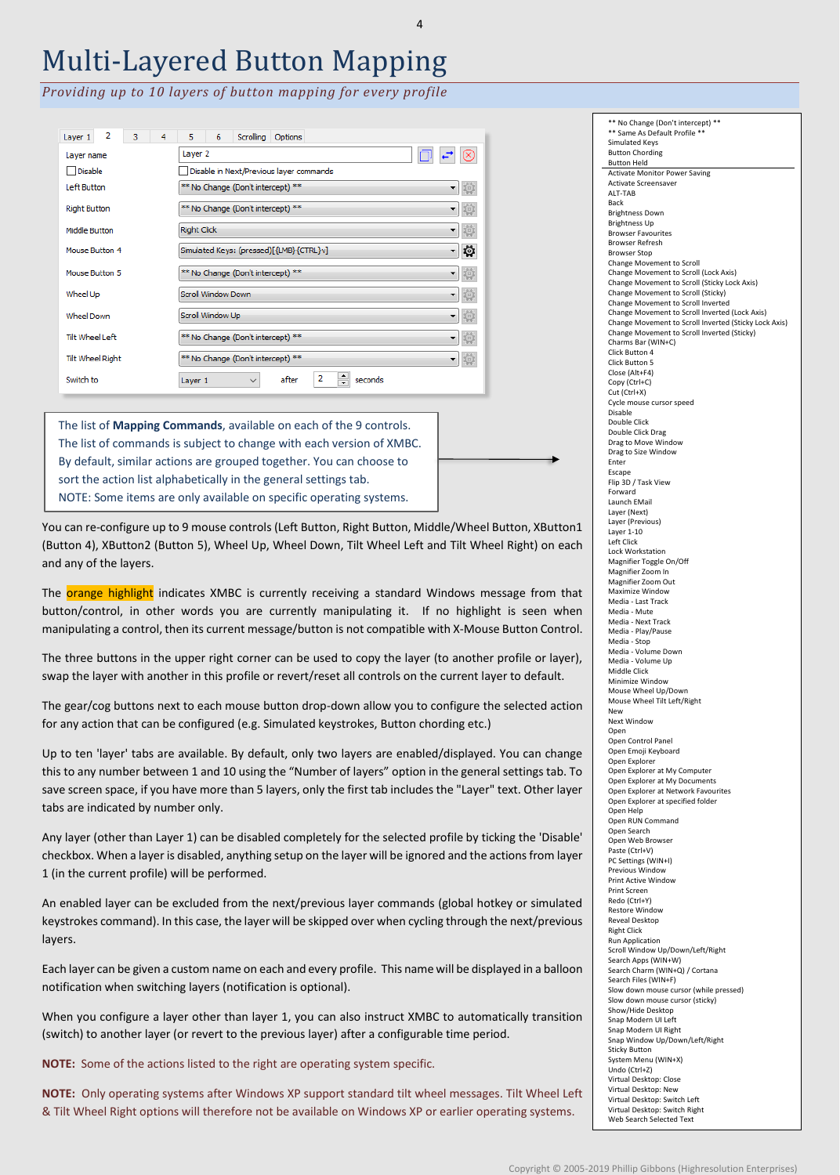# Multi-Layered Button Mapping

4

*Providing up to 10 layers of button mapping for every profile*

| 2<br>з<br>4<br>Layer 1  | Scrolling<br>5.<br>6<br>Options                     |
|-------------------------|-----------------------------------------------------|
| Layer name              | Layer 2                                             |
| Disable                 | Disable in Next/Previous layer commands             |
| Left Button             | ** No Change (Don't intercept) **<br>▼              |
| <b>Right Button</b>     | ** No Change (Don't intercept) **                   |
| Middle Button           | <b>Right Click</b>                                  |
| Mouse Button 4          | 10<br>Simulated Keys: (pressed)[{LMB}{CTRL}v]<br>▾┆ |
| Mouse Button 5          | ** No Change (Don't intercept) **                   |
| Wheel Up                | Scroll Window Down                                  |
| <b>Wheel Down</b>       | Scroll Window Up                                    |
| Tilt Wheel Left         | ** No Change (Don't intercept) **                   |
| <b>Tilt Wheel Right</b> | ** No Change (Don't intercept) **                   |
| Switch to               | 2<br>after<br>seconds<br>Layer 1<br>$\checkmark$    |

The list of **Mapping Commands**, available on each of the 9 controls. The list of commands is subject to change with each version of XMBC. By default, similar actions are grouped together. You can choose to sort the action list alphabetically in the general settings tab. NOTE: Some items are only available on specific operating systems.

You can re-configure up to 9 mouse controls (Left Button, Right Button, Middle/Wheel Button, XButton1 (Button 4), XButton2 (Button 5), Wheel Up, Wheel Down, Tilt Wheel Left and Tilt Wheel Right) on each and any of the layers.

The orange highlight indicates XMBC is currently receiving a standard Windows message from that button/control, in other words you are currently manipulating it. If no highlight is seen when manipulating a control, then its current message/button is not compatible with X-Mouse Button Control.

The three buttons in the upper right corner can be used to copy the layer (to another profile or layer), swap the layer with another in this profile or revert/reset all controls on the current layer to default.

The gear/cog buttons next to each mouse button drop-down allow you to configure the selected action for any action that can be configured (e.g. Simulated keystrokes, Button chording etc.)

Up to ten 'layer' tabs are available. By default, only two layers are enabled/displayed. You can change this to any number between 1 and 10 using the "Number of layers" option in the general settings tab. To save screen space, if you have more than 5 layers, only the first tab includes the "Layer" text. Other layer tabs are indicated by number only.

Any layer (other than Layer 1) can be disabled completely for the selected profile by ticking the 'Disable' checkbox. When a layer is disabled, anything setup on the layer will be ignored and the actions from layer 1 (in the current profile) will be performed.

An enabled layer can be excluded from the next/previous layer commands (global hotkey or simulated keystrokes command). In this case, the layer will be skipped over when cycling through the next/previous layers.

Each layer can be given a custom name on each and every profile. This name will be displayed in a balloon notification when switching layers (notification is optional).

When you configure a layer other than layer 1, you can also instruct XMBC to automatically transition (switch) to another layer (or revert to the previous layer) after a configurable time period.

**NOTE:** Some of the actions listed to the right are operating system specific.

**NOTE:** Only operating systems after Windows XP support standard tilt wheel messages. Tilt Wheel Left & Tilt Wheel Right options will therefore not be available on Windows XP or earlier operating systems.

\*\* No Change (Don't intercept) \*\* \*\* Same As Default Profile \*\* Simulated Keys Button Chording Button Held Activate Monitor Power Saving Activate Screensaver ALT-TAB Back Brightness Down Brightness Up Browser Favourites Browser Refresh Browser Stop Change Movement to Scroll Change Movement to Scroll (Lock Axis) Change Movement to Scroll (Sticky Lock Axis) Change Movement to Scroll (Sticky) Change Movement to Scroll Inverted Change Movement to Scroll Inverted (Lock Axis) Change Movement to Scroll Inverted (Sticky Lock Axis) Change Movement to Scroll Inverted (Sticky) Charms Bar (WIN+C) Click Button 4 Click Button 5 Close (Alt+F4) Copy (Ctrl+C) Cut (Ctrl+X) Cycle mouse cursor speed Disable Double Click Double Click Drag Drag to Move Window Drag to Size Window Enter Escape Flip 3D / Task View Forward Launch EMail Layer (Next) Layer (Previous) Layer 1-10 Left Click Lock Workstation Magnifier Toggle On/Off Magnifier Zoom In Magnifier Zoom Out Maximize Window Media - Last Track Media - Mute Media - Next Track Media - Play/Pause Media - Stop Media - Volume Down Media - Volume Up Middle Click Minimize Window Mouse Wheel Up/Down Mouse Wheel Tilt Left/Right New Next Window Open Open Control Panel Open Emoji Keyboard Open Explorer Open Explorer at My Computer Open Explorer at My Documents Open Explorer at Network Favourites Open Explorer at specified folder Open Help Open RUN Command Open Search Open Web Browser Paste (Ctrl+V) PC Settings (WIN+I) Previous Window Print Active Window Print Screen Redo (Ctrl+Y) Restore Window Reveal Desktop Right Click Run Application Scroll Window Up/Down/Left/Right Search Apps (WIN+W) Search Charm (WIN+Q) / Cortana Search Files (WIN+F) Slow down mouse cursor (while pressed) Slow down mouse cursor (sticky) Show/Hide Desktop Snap Modern UI Left Snap Modern UI Right Snap Window Up/Down/Left/Right Sticky Button System Menu (WIN+X) Undo (Ctrl+Z) Virtual Desktop: Close Virtual Desktop: New Virtual Desktop: Switch Left Virtual Desktop: Switch Right Web Search Selected Text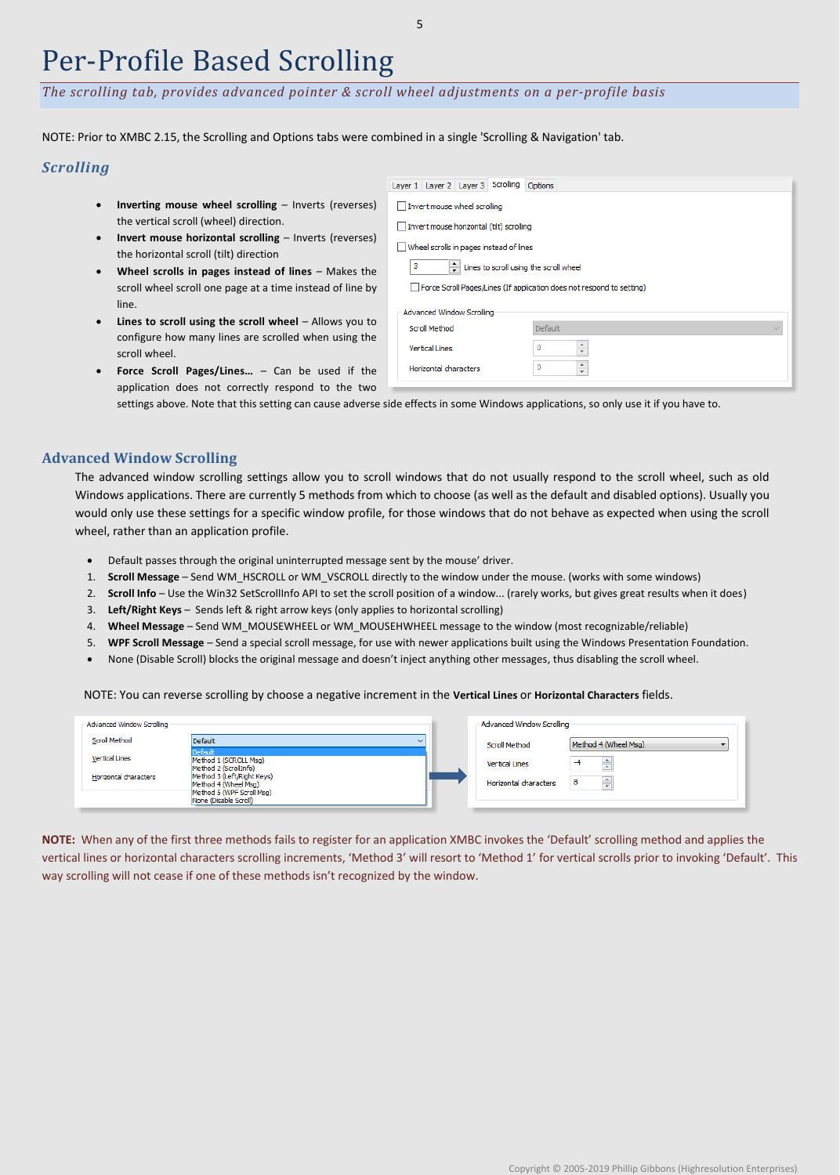### Per-Profile Based Scrolling

*The scrolling tab, provides advanced pointer & scroll wheel adjustments on a per-profile basis*

NOTE: Prior to XMBC 2.15, the Scrolling and Options tabs were combined in a single 'Scrolling & Navigation' tab.

### *Scrolling*

- **Inverting mouse wheel scrolling** Inverts (reverse the vertical scroll (wheel) direction.
- **Invert mouse horizontal scrolling** Inverts (reverse the horizontal scroll (tilt) direction
- **Wheel scrolls in pages instead of lines** Makes the scroll wheel scroll one page at a time instead of line I line.
- **Lines to scroll using the scroll wheel** Allows you configure how many lines are scrolled when using the scroll wheel.

| Inverting mouse wheel scrolling $-$ Inverts (reverses)    | Invert mouse wheel scrolling                                          |         |  |
|-----------------------------------------------------------|-----------------------------------------------------------------------|---------|--|
| the vertical scroll (wheel) direction.                    | Invert mouse horizontal (tilt) scrolling                              |         |  |
| Invert mouse horizontal scrolling $-$ Inverts (reverses)  | Wheel scrolls in pages instead of lines                               |         |  |
| the horizontal scroll (tilt) direction                    |                                                                       |         |  |
| Wheel scrolls in pages instead of lines $-$ Makes the     | Lines to scroll using the scroll wheel                                |         |  |
| scroll wheel scroll one page at a time instead of line by | Force Scroll Pages/Lines (If application does not respond to setting) |         |  |
| line.                                                     | Advanced Window Scrolling                                             |         |  |
| Lines to scroll using the scroll wheel $-$ Allows you to  | Scroll Method                                                         | Default |  |
| configure how many lines are scrolled when using the      |                                                                       |         |  |
| scroll wheel.                                             | <b>Vertical Lines</b>                                                 |         |  |
| <b>Force Scroll Pages/Lines</b> $-$ Can be used if the    | 0<br>Horizontal characters<br>$\mathbf{v}$                            |         |  |
| application does not correctly respond to the two         |                                                                       |         |  |

application does not correctly respond to the tw settings above. Note that this setting can cause adverse side effects in some Windows applications, so only use it if you have to.

### **Advanced Window Scrolling**

The advanced window scrolling settings allow you to scroll windows that do not usually respond to the scroll wheel, such as old Windows applications. There are currently 5 methods from which to choose (as well as the default and disabled options). Usually you would only use these settings for a specific window profile, for those windows that do not behave as expected when using the scroll wheel, rather than an application profile.

- Default passes through the original uninterrupted message sent by the mouse' driver.
- 1. **Scroll Message** Send WM\_HSCROLL or WM\_VSCROLL directly to the window under the mouse. (works with some windows)
- 2. **Scroll Info** Use the Win32 SetScrollInfo API to set the scroll position of a window... (rarely works, but gives great results when it does)
- 3. **Left/Right Keys** Sends left & right arrow keys (only applies to horizontal scrolling)
- 4. **Wheel Message** Send WM\_MOUSEWHEEL or WM\_MOUSEHWHEEL message to the window (most recognizable/reliable)
- 5. **WPF Scroll Message** Send a special scroll message, for use with newer applications built using the Windows Presentation Foundation.
- None (Disable Scroll) blocks the original message and doesn't inject anything other messages, thus disabling the scroll wheel.

NOTE: You can reverse scrolling by choose a negative increment in the **Vertical Lines** or **Horizontal Characters** fields.

| - Advanced Window Scrolling |                                                                                 | - Advanced Window Scrolling |                      |
|-----------------------------|---------------------------------------------------------------------------------|-----------------------------|----------------------|
| Scroll Method               | Default<br>◡                                                                    | Scroll Method               | Method 4 (Wheel Msg) |
| <b>Vertical Lines</b>       | <b>Default</b><br>Method 1 (SCROLL Msg)<br>Method 2 (ScrollInfo)                | <b>Vertical Lines</b>       | ÷                    |
| Horizontal characters       | Method 3 (Left/Right Keys)<br>Method 4 (Wheel Msg)<br>Method 5 (WPF Scroll Msg) | Horizontal characters       | ÷                    |
|                             | None (Disable Scroll)                                                           |                             |                      |

**NOTE:** When any of the first three methods fails to register for an application XMBC invokes the 'Default' scrolling method and applies the vertical lines or horizontal characters scrolling increments, 'Method 3' will resort to 'Method 1' for vertical scrolls prior to invoking 'Default'. This way scrolling will not cease if one of these methods isn't recognized by the window.

Layer 1 Layer 2 Layer 3 Scrolling Options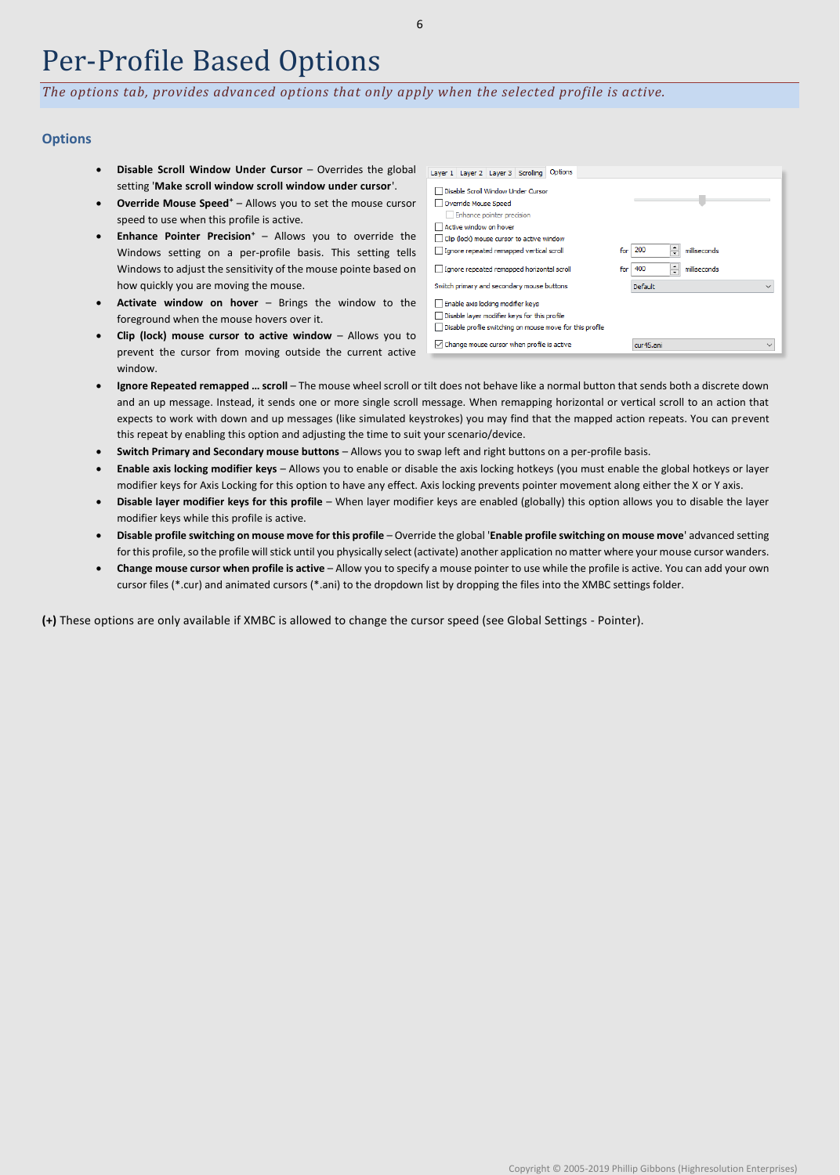### Per-Profile Based Options

*The options tab, provides advanced options that only apply when the selected profile is active.*

### **Options**

- **Disable Scroll Window Under Cursor** Overrides the global setting '**Make scroll window scroll window under cursor**'.
- **Override Mouse Speed<sup>+</sup>** Allows you to set the mouse cursor speed to use when this profile is active.
- **Enhance Pointer Precision<sup>+</sup>** Allows you to override the Windows setting on a per-profile basis. This setting tells Windows to adjust the sensitivity of the mouse pointe based on how quickly you are moving the mouse.
- **Activate window on hover** Brings the window to the foreground when the mouse hovers over it.
- **Clip (lock) mouse cursor to active window** Allows you to prevent the cursor from moving outside the current active window.

| Options<br>Layer 1   Layer 2   Layer 3   Scrolling                                                                                            |                                 |
|-----------------------------------------------------------------------------------------------------------------------------------------------|---------------------------------|
| Disable Scroll Window Under Cursor<br>Override Mouse Speed<br>Enhance pointer precision                                                       |                                 |
| Active window on hover                                                                                                                        |                                 |
| Clip (lock) mouse cursor to active window                                                                                                     |                                 |
| Ignore repeated remapped vertical scroll                                                                                                      | ≑<br>200<br>milliseconds<br>for |
| Ignore repeated remapped horizontal scroll                                                                                                    | 400<br>milliseconds<br>for      |
| Switch primary and secondary mouse buttons                                                                                                    | Default<br>$\checkmark$         |
| Enable axis locking modifier keys<br>Disable layer modifier keys for this profile<br>Disable profile switching on mouse move for this profile |                                 |
| Change mouse cursor when profile is active<br>M                                                                                               | cur45.ani<br>$\checkmark$       |

- **Ignore Repeated remapped … scroll** The mouse wheel scroll or tilt does not behave like a normal button that sends both a discrete down and an up message. Instead, it sends one or more single scroll message. When remapping horizontal or vertical scroll to an action that expects to work with down and up messages (like simulated keystrokes) you may find that the mapped action repeats. You can prevent this repeat by enabling this option and adjusting the time to suit your scenario/device.
- **Switch Primary and Secondary mouse buttons**  Allows you to swap left and right buttons on a per-profile basis.
- **Enable axis locking modifier keys** Allows you to enable or disable the axis locking hotkeys (you must enable the global hotkeys or layer modifier keys for Axis Locking for this option to have any effect. Axis locking prevents pointer movement along either the X or Y axis.
- **Disable layer modifier keys for this profile**  When layer modifier keys are enabled (globally) this option allows you to disable the layer modifier keys while this profile is active.
- **Disable profile switching on mouse move for this profile**  Override the global '**Enable profile switching on mouse move**' advanced setting for this profile, so the profile will stick until you physically select (activate) another application no matter where your mouse cursor wanders.
- **Change mouse cursor when profile is active**  Allow you to specify a mouse pointer to use while the profile is active. You can add your own cursor files (\*.cur) and animated cursors (\*.ani) to the dropdown list by dropping the files into the XMBC settings folder.

**(+)** These options are only available if XMBC is allowed to change the cursor speed (see Global Settings - Pointer).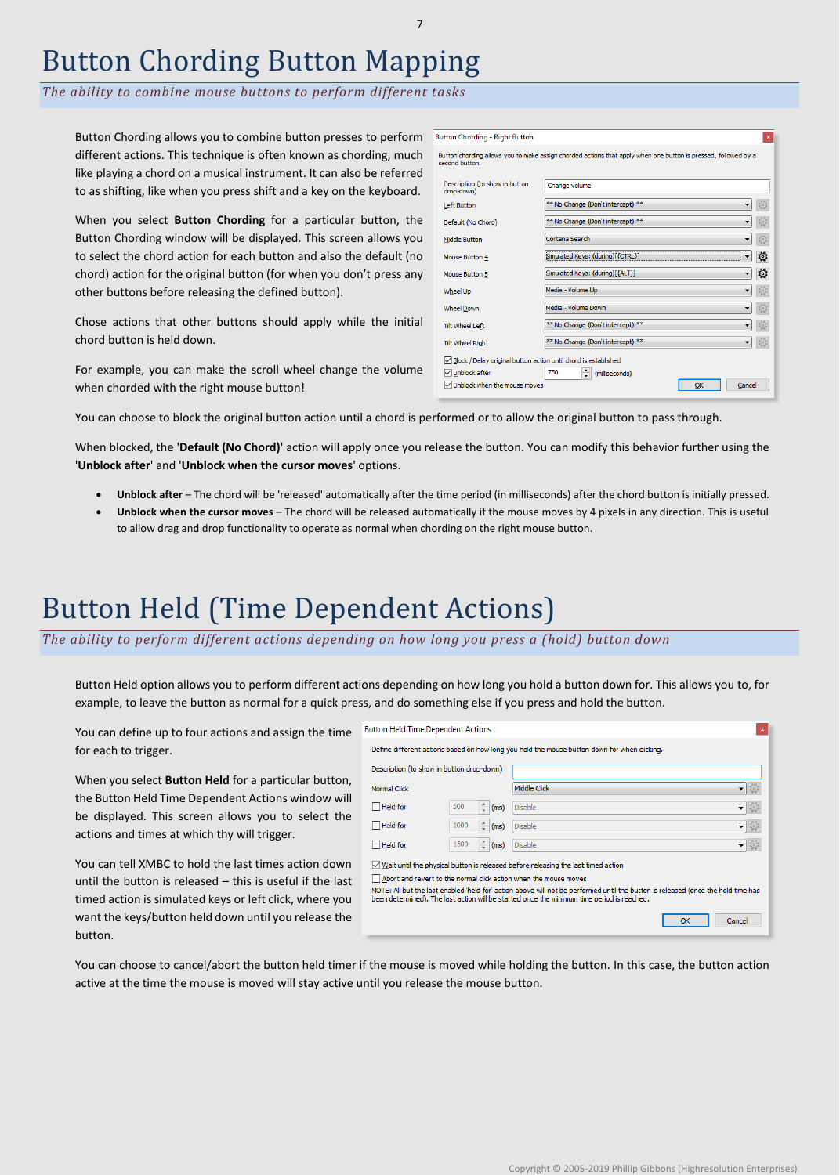### Button Chording Button Mapping

*The ability to combine mouse buttons to perform different tasks*

Button Chording allows you to combine button presses to perform Button Chording - Right Button different actions. This technique is often known as chording, much like playing a chord on a musical instrument. It can also be referred to as shifting, like when you press shift and a key on the keyboard.

When you select **Button Chording** for a particular button, the Button Chording window will be displayed. This screen allows you to select the chord action for each button and also the default (no chord) action for the original button (for when you don't press any other buttons before releasing the defined button).

Chose actions that other buttons should apply while the initial chord button is held down.

For example, you can make the scroll wheel change the volume when chorded with the right mouse button!

You can choose to block the original button action until a chord is performed or to allow the original button to pass through.

When blocked, the '**Default (No Chord)**' action will apply once you release the button. You can modify this behavior further using the '**Unblock after**' and '**Unblock when the cursor moves**' options.

- **Unblock after** The chord will be 'released' automatically after the time period (in milliseconds) after the chord button is initially pressed.
- **Unblock when the cursor moves** The chord will be released automatically if the mouse moves by 4 pixels in any direction. This is useful to allow drag and drop functionality to operate as normal when chording on the right mouse button.

## Button Held (Time Dependent Actions)

*The ability to perform different actions depending on how long you press a (hold) button down*

Button Held option allows you to perform different actions depending on how long you hold a button down for. This allows you to, for example, to leave the button as normal for a quick press, and do something else if you press and hold the button.

| You can define up to four actions and assign the time                                                                                                                                                                                           | <b>Button Held Time Dependent Actions</b>                         |      |                    |                                                                                                                                                                                                                                                                                                                                                |
|-------------------------------------------------------------------------------------------------------------------------------------------------------------------------------------------------------------------------------------------------|-------------------------------------------------------------------|------|--------------------|------------------------------------------------------------------------------------------------------------------------------------------------------------------------------------------------------------------------------------------------------------------------------------------------------------------------------------------------|
| for each to trigger.                                                                                                                                                                                                                            |                                                                   |      |                    | Define different actions based on how long you hold the mouse button down for when clicking.                                                                                                                                                                                                                                                   |
|                                                                                                                                                                                                                                                 | Description (to show in button drop-down)                         |      |                    |                                                                                                                                                                                                                                                                                                                                                |
| When you select <b>Button Held</b> for a particular button,                                                                                                                                                                                     | Normal Click                                                      |      |                    | 一面<br>Middle Click                                                                                                                                                                                                                                                                                                                             |
| the Button Held Time Dependent Actions window will                                                                                                                                                                                              | $\Box$ Held for                                                   | 500  | $\frac{1}{x}$ (ms) | Disable<br>▼ 開                                                                                                                                                                                                                                                                                                                                 |
| be displayed. This screen allows you to select the                                                                                                                                                                                              | $\Box$ Held for                                                   | 1000 | $\hat{=}$ (ms)     | Disable<br>▼ 聊                                                                                                                                                                                                                                                                                                                                 |
| actions and times at which thy will trigger.                                                                                                                                                                                                    | $\Box$ Held for                                                   | 1500 | $\hat{=}$ (ms)     | Disable<br>▼  ₩                                                                                                                                                                                                                                                                                                                                |
| You can tell XMBC to hold the last times action down<br>until the button is released – this is useful if the last<br>timed action is simulated keys or left click, where you<br>want the keys/button held down until you release the<br>button. | Abort and revert to the normal click action when the mouse moves. |      |                    | $\sqrt{}$ Wait until the physical button is released before releasing the last timed action<br>NOTE: All but the last enabled 'held for' action above will not be performed until the button is released (once the hold time has<br>been determined). The last action will be started once the minimum time period is reached.<br>OK<br>Cancel |
|                                                                                                                                                                                                                                                 |                                                                   |      |                    |                                                                                                                                                                                                                                                                                                                                                |

You can choose to cancel/abort the button held timer if the mouse is moved while holding the button. In this case, the button action active at the time the mouse is moved will stay active until you release the mouse button.

| second button.                                                  | Button chording allows you to make assign chorded actions that apply when one button is pressed, followed by a |
|-----------------------------------------------------------------|----------------------------------------------------------------------------------------------------------------|
| Description (to show in button<br>drop-down)                    | Change volume                                                                                                  |
| Left Button                                                     | ** No Change (Don't intercept) **                                                                              |
| Default (No Chord)                                              | ** No Change (Don't intercept) **                                                                              |
| Middle Button                                                   | Cortana Search                                                                                                 |
| Mouse Button 4                                                  | Simulated Keys: (during)[{CTRL}]<br>₩                                                                          |
| Mouse Button 5                                                  | 蓉<br>Simulated Keys: (during)[{ALT}]<br>۰                                                                      |
| Wheel Up                                                        | Media - Volume Up                                                                                              |
| <b>Wheel Down</b>                                               | Media - Volume Down                                                                                            |
| <b>Tilt Wheel Left</b>                                          | ** No Change (Don't intercept) **                                                                              |
| <b>Tilt Wheel Right</b>                                         | ** No Change (Don't intercept) **                                                                              |
| Block / Delay original button action until chord is established |                                                                                                                |
| √Unblock after                                                  | $\div$<br>750<br>(milliseconds)                                                                                |
| Unblock when the mouse moves                                    | OK<br>Cancel                                                                                                   |

 $\mathbf{x}$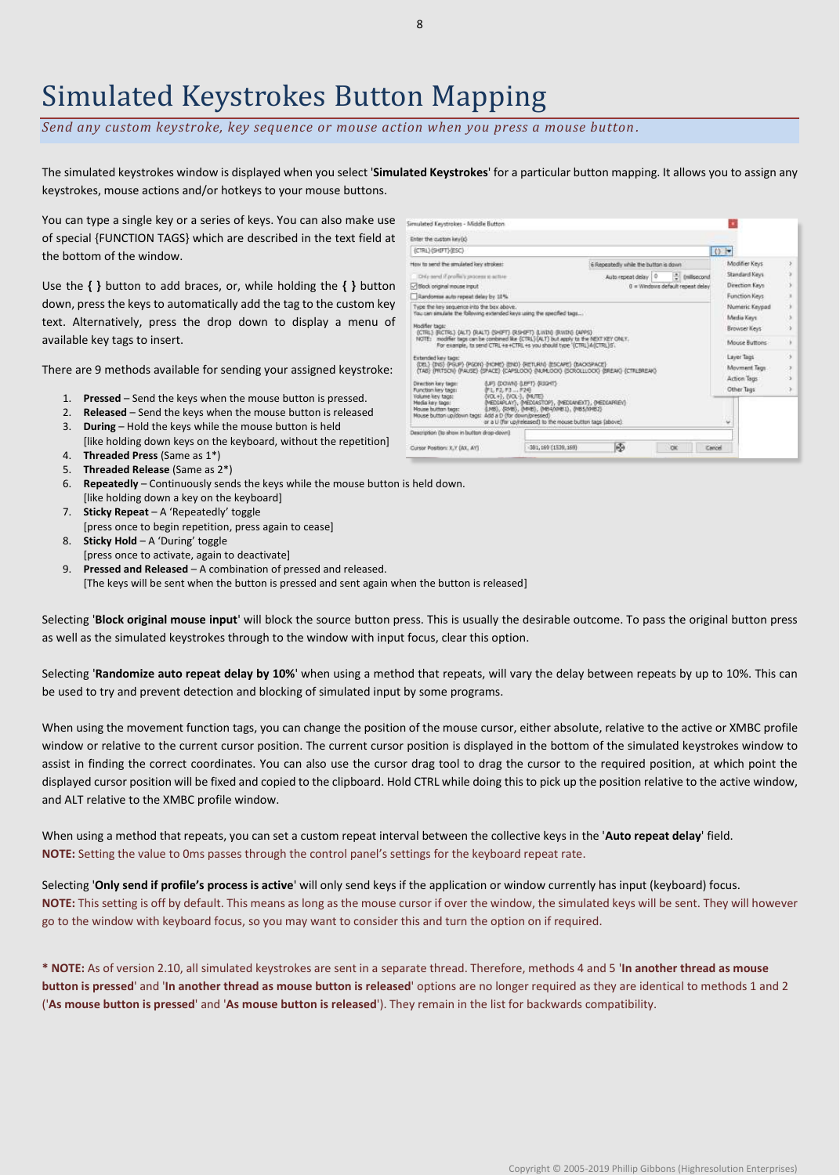# Simulated Keystrokes Button Mapping

*Send any custom keystroke, key sequence or mouse action when you press a mouse button .*

The simulated keystrokes window is displayed when you select '**Simulated Keystrokes**' for a particular button mapping. It allows you to assign any keystrokes, mouse actions and/or hotkeys to your mouse buttons.

You can type a single key or a series of keys. You can also make use of special {FUNCTION TAGS} which are described in the text field at the bottom of the window.

Use the **{ }** button to add braces, or, while holding the **{ }** button down, press the keys to automatically add the tag to the custom key text. Alternatively, press the drop down to display a menu of available key tags to insert.

There are 9 methods available for sending your assigned keystroke:

- 1. **Pressed** Send the keys when the mouse button is pressed.
- 2. **Released** Send the keys when the mouse button is released
- 3. **During** Hold the keys while the mouse button is held
- [like holding down keys on the keyboard, without the repetition]
- 4. **Threaded Press** (Same as 1\*)
- 5. **Threaded Release** (Same as 2\*)
- 6. **Repeatedly** Continuously sends the keys while the mouse button is held down.
- [like holding down a key on the keyboard] 7. **Sticky Repeat** – A 'Repeatedly' toggle [press once to begin repetition, press again to cease]
- 8. **Sticky Hold**  A 'During' toggle
- [press once to activate, again to deactivate] 9. **Pressed and Released** – A combination of pressed and released.
	- [The keys will be sent when the button is pressed and sent again when the button is released]

Selecting '**Block original mouse input**' will block the source button press. This is usually the desirable outcome. To pass the original button press as well as the simulated keystrokes through to the window with input focus, clear this option.

Selecting '**Randomize auto repeat delay by 10%**' when using a method that repeats, will vary the delay between repeats by up to 10%. This can be used to try and prevent detection and blocking of simulated input by some programs.

When using the movement function tags, you can change the position of the mouse cursor, either absolute, relative to the active or XMBC profile window or relative to the current cursor position. The current cursor position is displayed in the bottom of the simulated keystrokes window to assist in finding the correct coordinates. You can also use the cursor drag tool to drag the cursor to the required position, at which point the displayed cursor position will be fixed and copied to the clipboard. Hold CTRL while doing this to pick up the position relative to the active window, and ALT relative to the XMBC profile window.

When using a method that repeats, you can set a custom repeat interval between the collective keys in the '**Auto repeat delay**' field. **NOTE:** Setting the value to 0ms passes through the control panel's settings for the keyboard repeat rate.

Selecting '**Only send if profile's process is active**' will only send keys if the application or window currently has input (keyboard) focus. **NOTE:** This setting is off by default. This means as long as the mouse cursor if over the window, the simulated keys will be sent. They will however go to the window with keyboard focus, so you may want to consider this and turn the option on if required.

**\* NOTE:** As of version 2.10, all simulated keystrokes are sent in a separate thread. Therefore, methods 4 and 5 '**In another thread as mouse button is pressed**' and '**In another thread as mouse button is released**' options are no longer required as they are identical to methods 1 and 2 ('**As mouse button is pressed**' and '**As mouse button is released**'). They remain in the list for backwards compatibility.

| Simulated Keystrokes - Middle Button                                                                                                                            |                                                                                                                                                                      |                                       |  |                          |                |                |     |
|-----------------------------------------------------------------------------------------------------------------------------------------------------------------|----------------------------------------------------------------------------------------------------------------------------------------------------------------------|---------------------------------------|--|--------------------------|----------------|----------------|-----|
| Enter the custom key(s).                                                                                                                                        |                                                                                                                                                                      |                                       |  |                          |                |                |     |
| (CTRL) (SHIFT) (ESC)                                                                                                                                            |                                                                                                                                                                      |                                       |  |                          | ()             |                |     |
| How to send the amulated lory strokes:                                                                                                                          |                                                                                                                                                                      | 6 Repeatedly while the button is down |  |                          |                | Modifier Keys  |     |
| Orte aerd if profile's process is active-                                                                                                                       |                                                                                                                                                                      | Auto repeat delay 0                   |  | <sup>2</sup> (milisecond |                | Standard Keys  |     |
| 0 = Windows default repeat delay<br>Millock original mouse input                                                                                                |                                                                                                                                                                      |                                       |  |                          | Direction Keys |                |     |
| Randomse auto repeat delay by 10%                                                                                                                               |                                                                                                                                                                      |                                       |  |                          |                | Function Keys  |     |
| Type the key sequence into the box above.                                                                                                                       |                                                                                                                                                                      |                                       |  |                          |                | Numeric Keypad | 98  |
| You can smulate the following extended keys using the specified tags                                                                                            |                                                                                                                                                                      |                                       |  |                          |                | Media Keys     | Já  |
| Modifier tags:<br>(CTRL) (RCTRL) (ALT) (RALT) (SHIFT) (RSHIFT) (LWIN) (RWIN) (APPS).                                                                            |                                                                                                                                                                      |                                       |  |                          |                | Browser Keys   | 9   |
| NOTE: modifier tags can be combined like {CTRL}(ALT) but apply to the NEXT KEY ONLY.<br>For example, to send CTRL +a +CTRL +s you should type '{CTRL}A(CTRL)5'. |                                                                                                                                                                      |                                       |  |                          |                | Mouse Buttons  |     |
| Extended key tags:                                                                                                                                              |                                                                                                                                                                      |                                       |  |                          |                | Layer Tags     | ы   |
| (DEL) (INS) (PGUP) (PGDK) (HOME) (END) (RETURN) (ESCAPE) (BACKSPACE)<br>TABI IPRTSOID (PAUSE) (SPACE) (CAPSLOOI) (NUMLOOI) (SOROLLLOOI) (BREAK) (CTRLBREAK)     |                                                                                                                                                                      |                                       |  |                          |                | Movment Tegs   | 23  |
|                                                                                                                                                                 |                                                                                                                                                                      |                                       |  |                          |                | Action Tags    | - 5 |
| Direction key tage:<br>Function key tags:<br>かしてこす3  テスや                                                                                                        | (UP) (DOM/V) (LEFT) (RIGHT)                                                                                                                                          |                                       |  |                          |                | Other Tags     | D.  |
| EVOL +3, EVOL-3, EMUTES<br>Volume liey tags:<br>Media key tags:<br>Mouse button tags:<br>Mouse button up idown tags: Add a D (for down/pressed)                 | (MEDIAPLAY), (MEDIASTOP), (MEDIANEXT), (MEDIAPREV)<br>S.MES., (RMES., (MMES., (MEANIMEL), (MES.h94EL)<br>or a Li (for up/infeased) to the mouse button tags (above). |                                       |  |                          | v              |                |     |
| Description (its show in button drop-down).                                                                                                                     |                                                                                                                                                                      |                                       |  |                          |                |                |     |
| Cursor Position: X.Y (AX, AY)                                                                                                                                   | 381, 169 (1539, 169)                                                                                                                                                 | Ю                                     |  | <b>OK</b>                | Cancel         |                |     |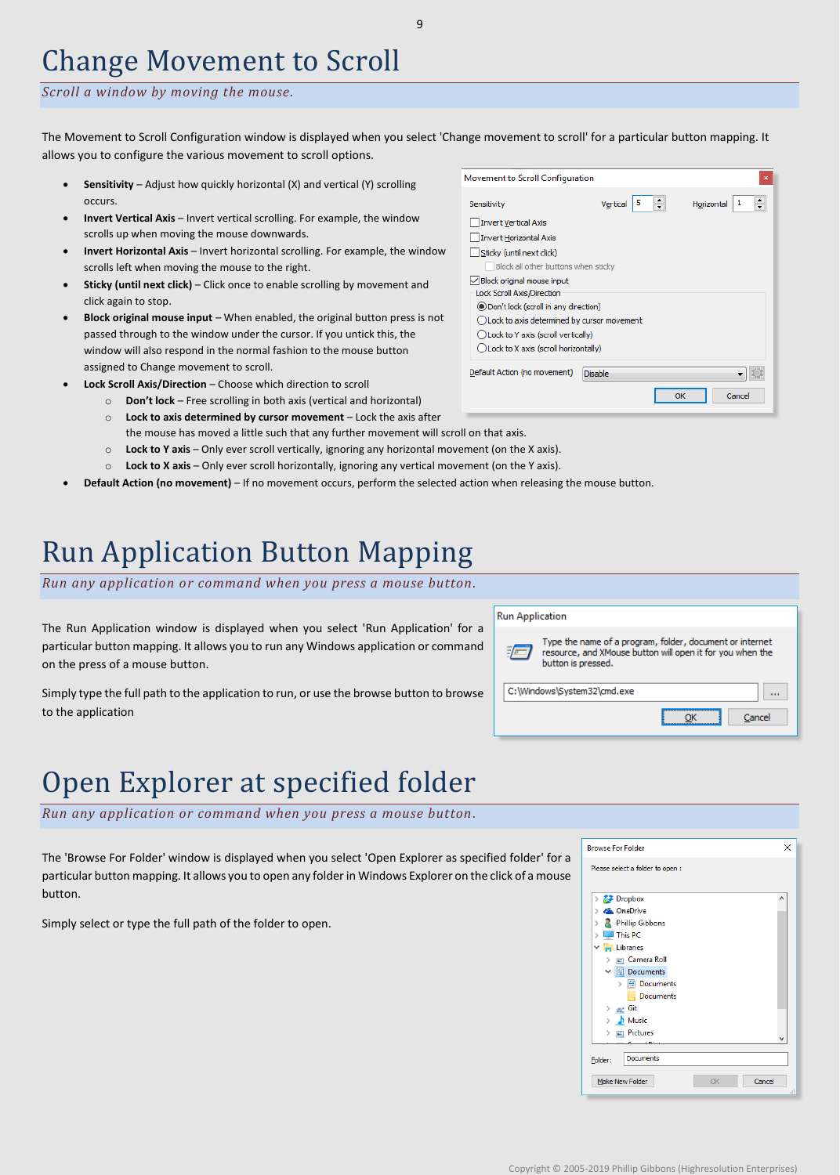### Change Movement to Scroll

### *Scroll a window by moving the mouse.*

The Movement to Scroll Configuration window is displayed when you select 'Change movement to scroll' for a particular button mapping. It allows you to configure the various movement to scroll options.

- **Sensitivity** Adjust how quickly horizontal (X) and vertical (Y) scrolling occurs.
- **Invert Vertical Axis** Invert vertical scrolling. For example, the window scrolls up when moving the mouse downwards.
- **Invert Horizontal Axis** Invert horizontal scrolling. For example, the window scrolls left when moving the mouse to the right.
- Sticky (until next click) Click once to enable scrolling by movement and click again to stop.
- **Block original mouse input**  When enabled, the original button press is not passed through to the window under the cursor. If you untick this, the window will also respond in the normal fashion to the mouse button assigned to Change movement to scroll.
- **Lock Scroll Axis/Direction** Choose which direction to scroll
	- o **Don't lock**  Free scrolling in both axis (vertical and horizontal) o **Lock to axis determined by cursor movement** – Lock the axis after
	- the mouse has moved a little such that any further movement will scroll on that axis.
	- o **Lock to Y axis**  Only ever scroll vertically, ignoring any horizontal movement (on the X axis).
	- o **Lock to X axis**  Only ever scroll horizontally, ignoring any vertical movement (on the Y axis).
- **Default Action (no movement)** If no movement occurs, perform the selected action when releasing the mouse button.

## Run Application Button Mapping

*Run any application or command when you press a mouse button.*

The Run Application window is displayed when you select 'Run Application' for a particular button mapping. It allows you to run any Windows application or command on the press of a mouse button.

Simply type the full path to the application to run, or use the browse button to browse to the application



# Open Explorer at specified folder

*Run any application or command when you press a mouse button.*

The 'Browse For Folder' window is displayed when you select 'Open Explorer as specified folder' for a particular button mapping. It allows you to open any folder in Windows Explorer on the click of a mouse button.

Simply select or type the full path of the folder to open.



| Movement to Scroll Configuration              |                | ×               |
|-----------------------------------------------|----------------|-----------------|
| Sensitivity                                   | Vertical       | Horizontal<br>1 |
| <b>Invert Vertical Axis</b>                   |                |                 |
| <b>Invert Horizontal Axis</b>                 |                |                 |
| Sticky (until next click)                     |                |                 |
| Block all other buttons when sticky           |                |                 |
| √ Block original mouse input                  |                |                 |
| Lock Scroll Axis/Direction                    |                |                 |
| ◉ Don't lock (scroll in any direction)        |                |                 |
| () Lock to axis determined by cursor movement |                |                 |
| () Lock to Y axis (scroll vertically)         |                |                 |
| () Lock to X axis (scroll horizontally)       |                |                 |
| Default Action (no movement)                  | <b>Disable</b> |                 |
|                                               |                | Cancel<br>OK    |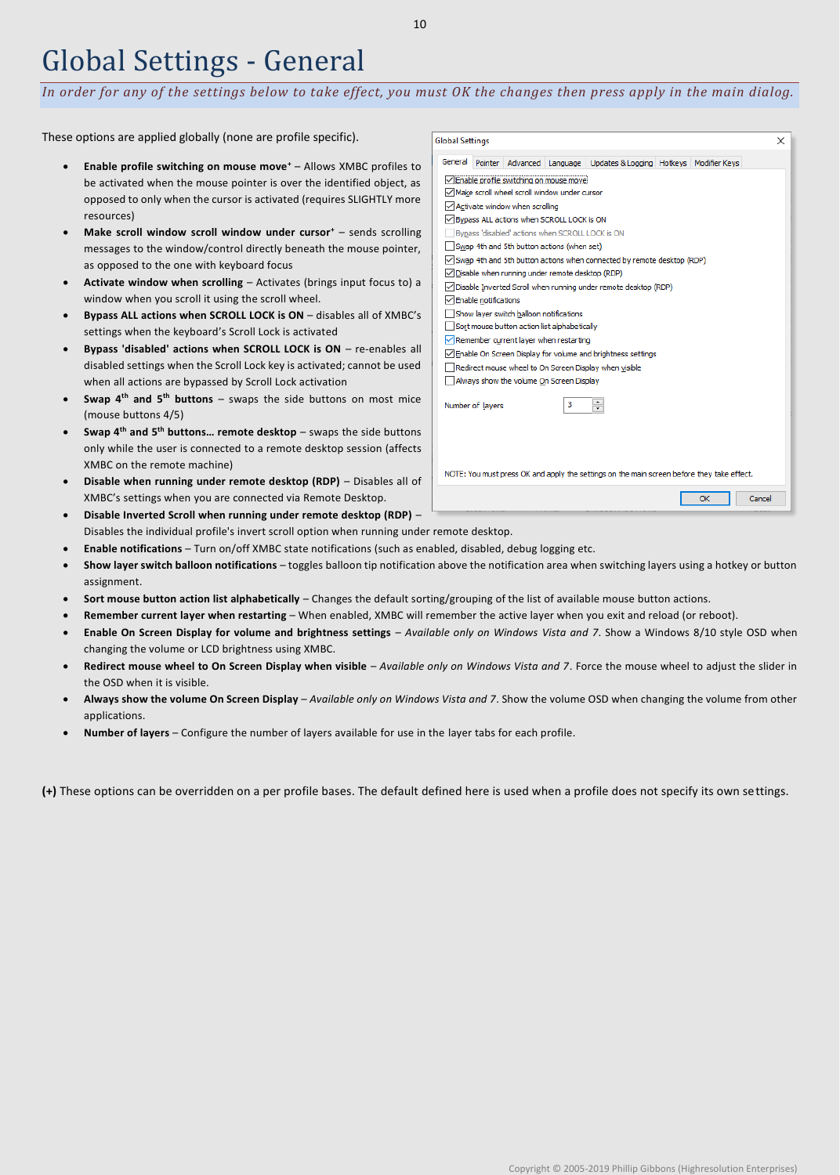### Global Settings - General

*In order for any of the settings below to take effect, you must OK the changes then press apply in the main dialog.*

These options are applied globally (none are profile specific).

- **Enable profile switching on mouse move<sup>+</sup>** Allows XMBC profiles to be activated when the mouse pointer is over the identified object, as opposed to only when the cursor is activated (requires SLIGHTLY more resources)
- **Make scroll window scroll window under cursor<sup>+</sup>** sends scrolling messages to the window/control directly beneath the mouse pointer, as opposed to the one with keyboard focus
- **Activate window when scrolling** Activates (brings input focus to) a window when you scroll it using the scroll wheel.
- **Bypass ALL actions when SCROLL LOCK is ON** disables all of XMBC's settings when the keyboard's Scroll Lock is activated
- **Bypass 'disabled' actions when SCROLL LOCK is ON** re-enables all disabled settings when the Scroll Lock key is activated; cannot be used when all actions are bypassed by Scroll Lock activation
- **Swap 4th and 5th buttons** swaps the side buttons on most mice (mouse buttons 4/5)
- **Swap 4th and 5th buttons… remote desktop** swaps the side buttons only while the user is connected to a remote desktop session (affects XMBC on the remote machine)
- **Disable when running under remote desktop (RDP)** Disables all of XMBC's settings when you are connected via Remote Desktop.
- **Disable Inverted Scroll when running under remote desktop (RDP)** Disables the individual profile's invert scroll option when running under remote desktop.
- **Enable notifications** Turn on/off XMBC state notifications (such as enabled, disabled, debug logging etc.
- **Show layer switch balloon notifications** toggles balloon tip notification above the notification area when switching layers using a hotkey or button assignment.
- **Sort mouse button action list alphabetically** Changes the default sorting/grouping of the list of available mouse button actions.
- **Remember current layer when restarting** When enabled, XMBC will remember the active layer when you exit and reload (or reboot).
- **Enable On Screen Display for volume and brightness settings** *Available only on Windows Vista and 7*. Show a Windows 8/10 style OSD when changing the volume or LCD brightness using XMBC.
- **Redirect mouse wheel to On Screen Display when visible** *Available only on Windows Vista and 7*. Force the mouse wheel to adjust the slider in the OSD when it is visible.
- **Always show the volume On Screen Display** *Available only on Windows Vista and 7*. Show the volume OSD when changing the volume from other applications.
- **Number of layers** Configure the number of layers available for use in the layer tabs for each profile.

**(+)** These options can be overridden on a per profile bases. The default defined here is used when a profile does not specify its own settings.

**Global Settings** 

| General                                                                                    | <b>Pointer</b>                                  |                                |                                                  | Advanced   Language   Updates & Logging   Hotkeys   Modifier Keys |  |    |        |  |  |  |  |
|--------------------------------------------------------------------------------------------|-------------------------------------------------|--------------------------------|--------------------------------------------------|-------------------------------------------------------------------|--|----|--------|--|--|--|--|
|                                                                                            | ○ Enable profile switching on mouse move        |                                |                                                  |                                                                   |  |    |        |  |  |  |  |
|                                                                                            |                                                 |                                | √ Make scroll wheel scroll window under cursor   |                                                                   |  |    |        |  |  |  |  |
|                                                                                            |                                                 | Activate window when scrolling |                                                  |                                                                   |  |    |        |  |  |  |  |
|                                                                                            |                                                 |                                | Bypass ALL actions when SCROLL LOCK is ON        |                                                                   |  |    |        |  |  |  |  |
|                                                                                            |                                                 |                                | Bypass 'disabled' actions when SCROLL LOCK is ON |                                                                   |  |    |        |  |  |  |  |
|                                                                                            |                                                 |                                | Swap 4th and 5th button actions (when set)       |                                                                   |  |    |        |  |  |  |  |
| Swap 4th and 5th button actions when connected by remote desktop (RDP)                     |                                                 |                                |                                                  |                                                                   |  |    |        |  |  |  |  |
|                                                                                            | Disable when running under remote desktop (RDP) |                                |                                                  |                                                                   |  |    |        |  |  |  |  |
| Disable Inverted Scroll when running under remote desktop (RDP)                            |                                                 |                                |                                                  |                                                                   |  |    |        |  |  |  |  |
| Enable notifications                                                                       |                                                 |                                |                                                  |                                                                   |  |    |        |  |  |  |  |
| Show layer switch balloon notifications                                                    |                                                 |                                |                                                  |                                                                   |  |    |        |  |  |  |  |
| Sort mouse button action list alphabetically                                               |                                                 |                                |                                                  |                                                                   |  |    |        |  |  |  |  |
|                                                                                            |                                                 |                                | Remember current layer when restarting           |                                                                   |  |    |        |  |  |  |  |
|                                                                                            |                                                 |                                |                                                  | Enable On Screen Display for volume and brightness settings       |  |    |        |  |  |  |  |
| Redirect mouse wheel to On Screen Display when visible                                     |                                                 |                                |                                                  |                                                                   |  |    |        |  |  |  |  |
|                                                                                            | Always show the volume On Screen Display        |                                |                                                  |                                                                   |  |    |        |  |  |  |  |
|                                                                                            | ٠<br>з<br>Number of layers<br>÷.                |                                |                                                  |                                                                   |  |    |        |  |  |  |  |
| NOTE: You must press OK and apply the settings on the main screen before they take effect. |                                                 |                                |                                                  |                                                                   |  |    |        |  |  |  |  |
|                                                                                            |                                                 |                                |                                                  |                                                                   |  | OK | Cancel |  |  |  |  |

 $\times$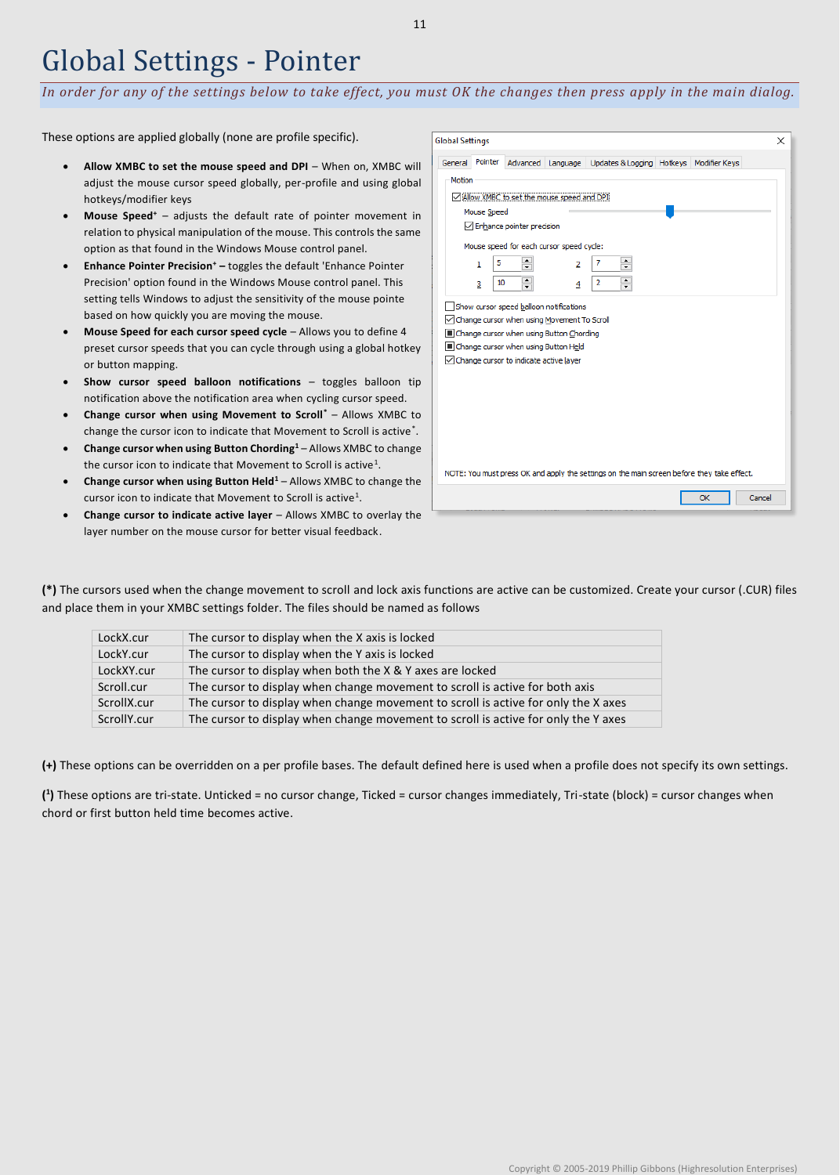### Global Settings - Pointer

*In order for any of the settings below to take effect, you must OK the changes then press apply in the main dialog.*

These options are applied globally (none are profile specific).

- Allow XMBC to set the mouse speed and DPI When on, XMBC will adjust the mouse cursor speed globally, per-profile and using global hotkeys/modifier keys
- **Mouse Speed<sup>+</sup>** adjusts the default rate of pointer movement in relation to physical manipulation of the mouse. This controls the same option as that found in the Windows Mouse control panel.
- **Enhance Pointer Precision<sup>+</sup> –** toggles the default 'Enhance Pointer Precision' option found in the Windows Mouse control panel. This setting tells Windows to adjust the sensitivity of the mouse pointe based on how quickly you are moving the mouse.
- **Mouse Speed for each cursor speed cycle**  Allows you to define 4 preset cursor speeds that you can cycle through using a global hotkey or button mapping.
- **Show cursor speed balloon notifications**  toggles balloon tip notification above the notification area when cycling cursor speed.
- **Change cursor when using Movement to Scroll\*** Allows XMBC to change the cursor icon to indicate that Movement to Scroll is active\* .
- **Change cursor when using Button Chording<sup>1</sup>** Allows XMBC to change the cursor icon to indicate that Movement to Scroll is active<sup>1</sup>.
- **Change cursor when using Button Held<sup>1</sup>** Allows XMBC to change the cursor icon to indicate that Movement to Scroll is active<sup>1</sup>.
- **Change cursor to indicate active layer** Allows XMBC to overlay the layer number on the mouse cursor for better visual feedback.

| General | Pointer     |                                                                                         |                                         | Advanced   Language   Updates & Logging   Hotkeys   Modifier Keys                          |  |  |
|---------|-------------|-----------------------------------------------------------------------------------------|-----------------------------------------|--------------------------------------------------------------------------------------------|--|--|
|         |             |                                                                                         |                                         |                                                                                            |  |  |
| Motion  |             |                                                                                         |                                         |                                                                                            |  |  |
|         |             | Allow XMBC to set the mouse speed and DPI                                               |                                         |                                                                                            |  |  |
|         | Mouse Speed |                                                                                         |                                         |                                                                                            |  |  |
|         |             | Enhance pointer precision                                                               |                                         |                                                                                            |  |  |
|         |             | Mouse speed for each cursor speed cycle:                                                |                                         |                                                                                            |  |  |
|         | 5           | $\left  \cdot \right $                                                                  |                                         | 7                                                                                          |  |  |
|         | 1           | $\overline{\phantom{0}}$                                                                | 2                                       | $\div$                                                                                     |  |  |
|         | 10<br>3     | $\leftarrow$<br>$\overline{\phantom{a}}$                                                | 4                                       | $\leftarrow$<br>2<br>▾                                                                     |  |  |
|         |             | Change cursor when using Movement To Scroll<br>Change cursor when using Button Chording | Show cursor speed balloon notifications |                                                                                            |  |  |
|         |             | ■ Change cursor when using Button Held<br>Change cursor to indicate active layer        |                                         |                                                                                            |  |  |
|         |             |                                                                                         |                                         |                                                                                            |  |  |
|         |             |                                                                                         |                                         |                                                                                            |  |  |
|         |             |                                                                                         |                                         | NOTE: You must press OK and apply the settings on the main screen before they take effect. |  |  |

**(\*)** The cursors used when the change movement to scroll and lock axis functions are active can be customized. Create your cursor (.CUR) files and place them in your XMBC settings folder. The files should be named as follows

| LockX.cur   | The cursor to display when the X axis is locked                                    |
|-------------|------------------------------------------------------------------------------------|
| LockY.cur   | The cursor to display when the Y axis is locked                                    |
| LockXY.cur  | The cursor to display when both the X & Y axes are locked                          |
| Scroll.cur  | The cursor to display when change movement to scroll is active for both axis       |
| ScrollX.cur | The cursor to display when change movement to scroll is active for only the X axes |
| ScrollY.cur | The cursor to display when change movement to scroll is active for only the Y axes |

**(+)** These options can be overridden on a per profile bases. The default defined here is used when a profile does not specify its own settings.

**( 1 )** These options are tri-state. Unticked = no cursor change, Ticked = cursor changes immediately, Tri-state (block) = cursor changes when chord or first button held time becomes active.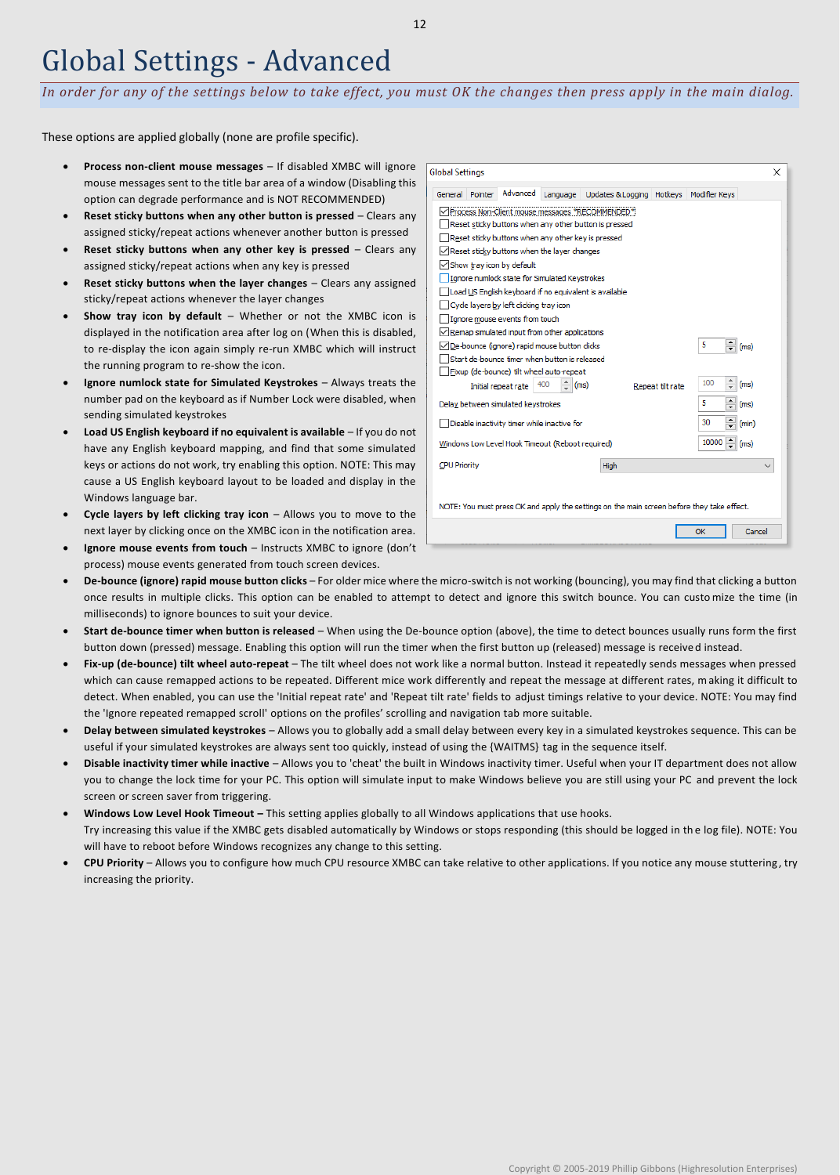### Global Settings - Advanced

*In order for any of the settings below to take effect, you must OK the changes then press apply in the main dialog.*

These options are applied globally (none are profile specific).

- **Process non-client mouse messages** If disabled XMBC will ignore mouse messages sent to the title bar area of a window (Disabling this option can degrade performance and is NOT RECOMMENDED)
- **Reset sticky buttons when any other button is pressed** Clears any assigned sticky/repeat actions whenever another button is pressed
- **Reset sticky buttons when any other key is pressed** Clears any assigned sticky/repeat actions when any key is pressed
- **Reset sticky buttons when the layer changes** Clears any assigned sticky/repeat actions whenever the layer changes
- **Show tray icon by default** Whether or not the XMBC icon is displayed in the notification area after log on (When this is disabled, to re-display the icon again simply re-run XMBC which will instruct the running program to re-show the icon.
- **Ignore numlock state for Simulated Keystrokes** Always treats the number pad on the keyboard as if Number Lock were disabled, when sending simulated keystrokes
- **Load US English keyboard if no equivalent is available** If you do not have any English keyboard mapping, and find that some simulated keys or actions do not work, try enabling this option. NOTE: This may cause a US English keyboard layout to be loaded and display in the Windows language bar.
- **Cycle layers by left clicking tray icon** Allows you to move to the next layer by clicking once on the XMBC icon in the notification area.
- **Ignore mouse events from touch** Instructs XMBC to ignore (don't process) mouse events generated from touch screen devices.

| <b>Global Settings</b>                                                             |                                                                                                            |                                                  |          |                                                                                            |  |               | ×      |  |  |
|------------------------------------------------------------------------------------|------------------------------------------------------------------------------------------------------------|--------------------------------------------------|----------|--------------------------------------------------------------------------------------------|--|---------------|--------|--|--|
| General                                                                            | Pointer                                                                                                    | Advanced                                         | Language | Updates & Logging Hotkeys                                                                  |  | Modifier Keys |        |  |  |
|                                                                                    |                                                                                                            |                                                  |          | √ Process Non-Client mouse messages *RECOMMENDED*                                          |  |               |        |  |  |
|                                                                                    |                                                                                                            |                                                  |          | Reset sticky buttons when any other button is pressed                                      |  |               |        |  |  |
|                                                                                    |                                                                                                            |                                                  |          | Reset sticky buttons when any other key is pressed                                         |  |               |        |  |  |
|                                                                                    |                                                                                                            | Reset sticky buttons when the layer changes      |          |                                                                                            |  |               |        |  |  |
| Show tray icon by default                                                          |                                                                                                            |                                                  |          |                                                                                            |  |               |        |  |  |
|                                                                                    | Ignore numlock state for Simulated Keystrokes                                                              |                                                  |          |                                                                                            |  |               |        |  |  |
| Load US English keyboard if no equivalent is available                             |                                                                                                            |                                                  |          |                                                                                            |  |               |        |  |  |
|                                                                                    |                                                                                                            | Cycle layers by left clicking tray icon          |          |                                                                                            |  |               |        |  |  |
| Ignore mouse events from touch                                                     |                                                                                                            |                                                  |          |                                                                                            |  |               |        |  |  |
| Remap simulated input from other applications                                      |                                                                                                            |                                                  |          |                                                                                            |  |               |        |  |  |
|                                                                                    | 5<br>De-bounce (ignore) rapid mouse button clicks<br>(ms)<br>Start de-bounce timer when button is released |                                                  |          |                                                                                            |  |               |        |  |  |
|                                                                                    |                                                                                                            |                                                  |          |                                                                                            |  |               |        |  |  |
|                                                                                    |                                                                                                            | Fixup (de-bounce) tilt wheel auto-repeat         |          |                                                                                            |  |               |        |  |  |
| $\hat{=}$<br>100<br>(ms)<br>400<br>Initial repeat rate<br>(ms)<br>Repeat tilt rate |                                                                                                            |                                                  |          |                                                                                            |  |               |        |  |  |
| 5<br>Delay between simulated keystrokes<br>(ms)                                    |                                                                                                            |                                                  |          |                                                                                            |  |               |        |  |  |
| 30<br>Disable inactivity timer while inactive for<br>(min)                         |                                                                                                            |                                                  |          |                                                                                            |  |               |        |  |  |
|                                                                                    |                                                                                                            | Windows Low Level Hook Timeout (Reboot required) |          |                                                                                            |  | 10000         | (ms)   |  |  |
| <b>CPU Priority</b>                                                                |                                                                                                            |                                                  |          | High                                                                                       |  |               |        |  |  |
|                                                                                    |                                                                                                            |                                                  |          |                                                                                            |  |               |        |  |  |
|                                                                                    |                                                                                                            |                                                  |          | NOTE: You must press OK and apply the settings on the main screen before they take effect. |  |               |        |  |  |
|                                                                                    |                                                                                                            |                                                  |          |                                                                                            |  | OK            | Cancel |  |  |
|                                                                                    |                                                                                                            |                                                  |          |                                                                                            |  |               |        |  |  |

- **De-bounce (ignore) rapid mouse button clicks** For older mice where the micro-switch is not working (bouncing), you may find that clicking a button once results in multiple clicks. This option can be enabled to attempt to detect and ignore this switch bounce. You can customize the time (in milliseconds) to ignore bounces to suit your device.
- **Start de-bounce timer when button is released** When using the De-bounce option (above), the time to detect bounces usually runs form the first button down (pressed) message. Enabling this option will run the timer when the first button up (released) message is receive d instead.
- **Fix-up (de-bounce) tilt wheel auto-repeat** The tilt wheel does not work like a normal button. Instead it repeatedly sends messages when pressed which can cause remapped actions to be repeated. Different mice work differently and repeat the message at different rates, making it difficult to detect. When enabled, you can use the 'Initial repeat rate' and 'Repeat tilt rate' fields to adjust timings relative to your device. NOTE: You may find the 'Ignore repeated remapped scroll' options on the profiles' scrolling and navigation tab more suitable.
- **Delay between simulated keystrokes**  Allows you to globally add a small delay between every key in a simulated keystrokes sequence. This can be useful if your simulated keystrokes are always sent too quickly, instead of using the {WAITMS} tag in the sequence itself.
- **Disable inactivity timer while inactive** Allows you to 'cheat' the built in Windows inactivity timer. Useful when your IT department does not allow you to change the lock time for your PC. This option will simulate input to make Windows believe you are still using your PC and prevent the lock screen or screen saver from triggering.
- **Windows Low Level Hook Timeout –** This setting applies globally to all Windows applications that use hooks. Try increasing this value if the XMBC gets disabled automatically by Windows or stops responding (this should be logged in th e log file). NOTE: You will have to reboot before Windows recognizes any change to this setting.
- **CPU Priority** Allows you to configure how much CPU resource XMBC can take relative to other applications. If you notice any mouse stuttering , try increasing the priority.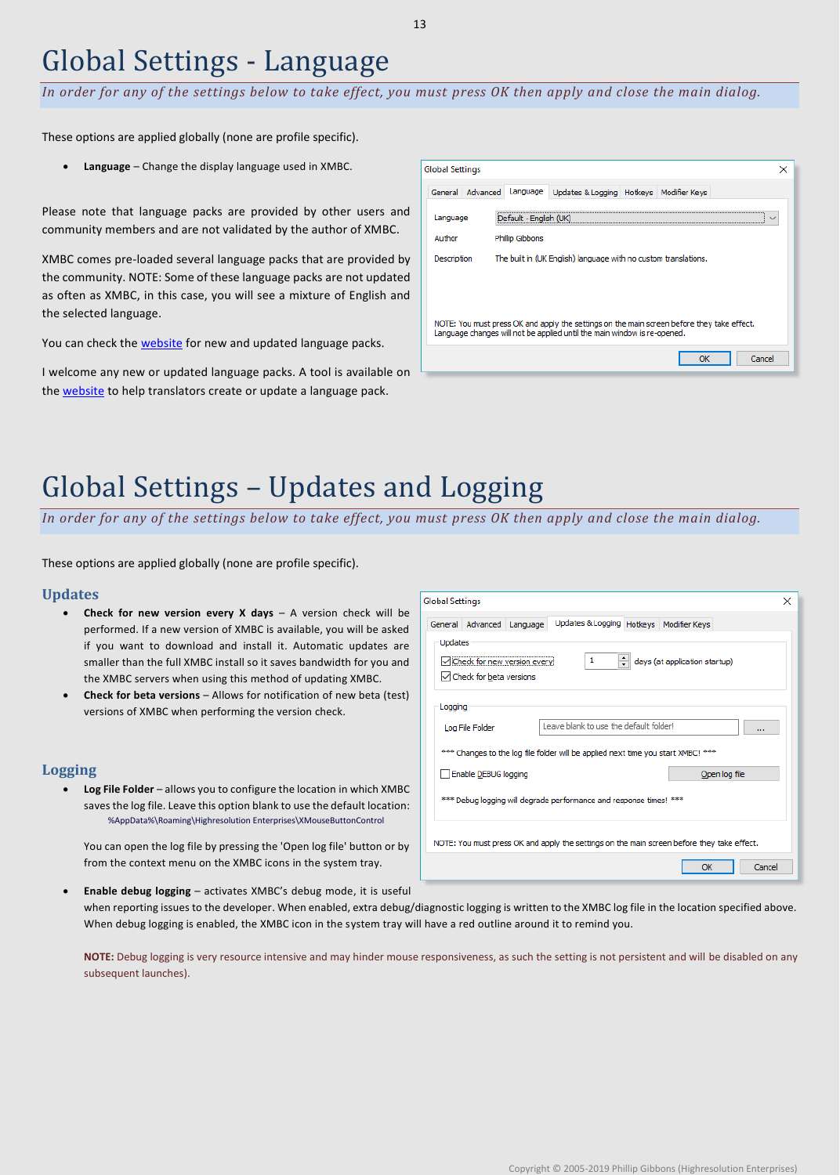### Global Settings - Language

*In order for any of the settings below to take effect, you must press OK then apply and close the main dialog.*

These options are applied globally (none are profile specific).

• **Language** – Change the display language used in XMBC.

Please note that language packs are provided by other users and community members and are not validated by the author of XMBC.

XMBC comes pre-loaded several language packs that are provided by the community. NOTE: Some of these language packs are not updated as often as XMBC, in this case, you will see a mixture of English and the selected language.

You can check the **website** for new and updated language packs.

I welcome any new or updated language packs. A tool is available on the [website](http://www.highrez.co.uk/downloads/xmbc_languages.htm) to help translators create or update a language pack.

| <b>Global Settings</b>                                                                                                                                                 |                                                                 | × |  |  |  |  |  |
|------------------------------------------------------------------------------------------------------------------------------------------------------------------------|-----------------------------------------------------------------|---|--|--|--|--|--|
| Advanced<br>General                                                                                                                                                    | Updates & Logging   Hotkeys   Modifier Keys<br>Language         |   |  |  |  |  |  |
| Language                                                                                                                                                               | Default - English (UK)                                          |   |  |  |  |  |  |
| Author                                                                                                                                                                 | Phillip Gibbons                                                 |   |  |  |  |  |  |
| Description                                                                                                                                                            | The built in (UK English) language with no custom translations. |   |  |  |  |  |  |
|                                                                                                                                                                        |                                                                 |   |  |  |  |  |  |
|                                                                                                                                                                        |                                                                 |   |  |  |  |  |  |
| NOTE: You must press OK and apply the settings on the main screen before they take effect.<br>Language changes will not be applied until the main window is re-opened. |                                                                 |   |  |  |  |  |  |
| Cancel<br>ОК                                                                                                                                                           |                                                                 |   |  |  |  |  |  |
|                                                                                                                                                                        |                                                                 |   |  |  |  |  |  |

# Global Settings – Updates and Logging

*In order for any of the settings below to take effect, you must press OK then apply and close the main dialog.*

These options are applied globally (none are profile specific).

#### **Updates**

- **Check for new version every X days** A version check will be performed. If a new version of XMBC is available, you will be asked if you want to download and install it. Automatic updates are smaller than the full XMBC install so it saves bandwidth for you and the XMBC servers when using this method of updating XMBC.
- **Check for beta versions** Allows for notification of new beta (test) versions of XMBC when performing the version check.

### **Logging**

• **Log File Folder** – allows you to configure the location in which XMBC saves the log file. Leave this option blank to use the default location: %AppData%\Roaming\Highresolution Enterprises\XMouseButtonControl

You can open the log file by pressing the 'Open log file' button or by from the context menu on the XMBC icons in the system tray.

| <b>Global Settings</b><br>×                                                                                 |  |  |  |  |  |  |  |  |
|-------------------------------------------------------------------------------------------------------------|--|--|--|--|--|--|--|--|
| Updates & Logging Hotkeys   Modifier Keys<br>General Advanced Language                                      |  |  |  |  |  |  |  |  |
| Updates<br>days (at application startup)<br>1<br>√Check for new version every!<br>√ Check for beta versions |  |  |  |  |  |  |  |  |
| Logging                                                                                                     |  |  |  |  |  |  |  |  |
| Leave blank to use the default folder!<br>Log File Folder<br>$\cdots$                                       |  |  |  |  |  |  |  |  |
| *** Changes to the log file folder will be applied next time you start XMBC! ***                            |  |  |  |  |  |  |  |  |
| Enable DEBUG logging<br>Open log file                                                                       |  |  |  |  |  |  |  |  |
| *** Debug logging will degrade performance and response times! ***                                          |  |  |  |  |  |  |  |  |
| NOTE: You must press OK and apply the settings on the main screen before they take effect.                  |  |  |  |  |  |  |  |  |
| Cancel<br>OK                                                                                                |  |  |  |  |  |  |  |  |

• **Enable debug logging** – activates XMBC's debug mode, it is useful when reporting issues to the developer. When enabled, extra debug/diagnostic logging is written to the XMBC log file in the location specified above. When debug logging is enabled, the XMBC icon in the system tray will have a red outline around it to remind you.

**NOTE:** Debug logging is very resource intensive and may hinder mouse responsiveness, as such the setting is not persistent and will be disabled on any subsequent launches).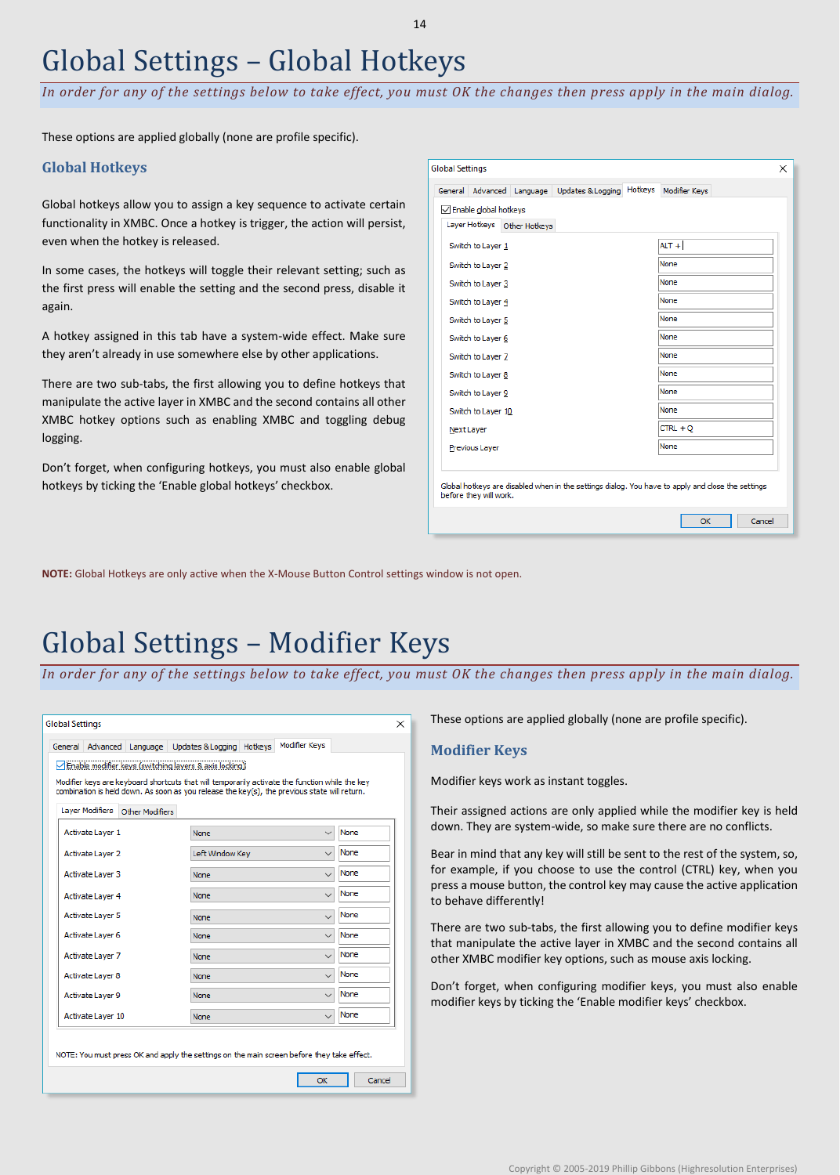# Global Settings – Global Hotkeys

*In order for any of the settings below to take effect, you must OK the changes then press apply in the main dialog.*

These options are applied globally (none are profile specific).

### **Global Hotkeys**

Global hotkeys allow you to assign a key sequence to activate certain functionality in XMBC. Once a hotkey is trigger, the action will persist, even when the hotkey is released.

In some cases, the hotkeys will toggle their relevant setting; such as the first press will enable the setting and the second press, disable it again.

A hotkey assigned in this tab have a system-wide effect. Make sure they aren't already in use somewhere else by other applications.

There are two sub-tabs, the first allowing you to define hotkeys that manipulate the active layer in XMBC and the second contains all other XMBC hotkey options such as enabling XMBC and toggling debug logging.

Don't forget, when configuring hotkeys, you must also enable global hotkeys by ticking the 'Enable global hotkeys' checkbox.

| └ Enable global hotkeys<br>Layer Hotkeys<br>Other Hotkeys<br>$ALT +$<br>Switch to Layer 1<br>None<br>Switch to Layer 2<br>None<br>Switch to Layer 3<br>None<br>Switch to Layer 4<br>None<br>Switch to Layer 5<br>None<br>Switch to Layer 6<br>None<br>Switch to Layer 7<br>None<br>Switch to Laver 8<br>None<br>Switch to Layer 9<br>None<br>Switch to Layer 10 | Advanced Language<br>General | Updates & Logging | Hotkeys | Modifier Keys |  |  |  |  |  |
|-----------------------------------------------------------------------------------------------------------------------------------------------------------------------------------------------------------------------------------------------------------------------------------------------------------------------------------------------------------------|------------------------------|-------------------|---------|---------------|--|--|--|--|--|
|                                                                                                                                                                                                                                                                                                                                                                 |                              |                   |         |               |  |  |  |  |  |
|                                                                                                                                                                                                                                                                                                                                                                 |                              |                   |         |               |  |  |  |  |  |
|                                                                                                                                                                                                                                                                                                                                                                 |                              |                   |         |               |  |  |  |  |  |
|                                                                                                                                                                                                                                                                                                                                                                 |                              |                   |         |               |  |  |  |  |  |
|                                                                                                                                                                                                                                                                                                                                                                 |                              |                   |         |               |  |  |  |  |  |
|                                                                                                                                                                                                                                                                                                                                                                 |                              |                   |         |               |  |  |  |  |  |
|                                                                                                                                                                                                                                                                                                                                                                 |                              |                   |         |               |  |  |  |  |  |
|                                                                                                                                                                                                                                                                                                                                                                 |                              |                   |         |               |  |  |  |  |  |
|                                                                                                                                                                                                                                                                                                                                                                 |                              |                   |         |               |  |  |  |  |  |
|                                                                                                                                                                                                                                                                                                                                                                 |                              |                   |         |               |  |  |  |  |  |
|                                                                                                                                                                                                                                                                                                                                                                 |                              |                   |         |               |  |  |  |  |  |
|                                                                                                                                                                                                                                                                                                                                                                 |                              |                   |         |               |  |  |  |  |  |
| CTRL + O<br>Next Layer                                                                                                                                                                                                                                                                                                                                          |                              |                   |         |               |  |  |  |  |  |
| None<br>Previous Layer                                                                                                                                                                                                                                                                                                                                          |                              |                   |         |               |  |  |  |  |  |

**NOTE:** Global Hotkeys are only active when the X-Mouse Button Control settings window is not open.

### Global Settings – Modifier Keys

*In order for any of the settings below to take effect, you must OK the changes then press apply in the main dialog.*

| <b>Global Settings</b> |                         |                 |                                                                                                                                                                                                |                          | ×      |
|------------------------|-------------------------|-----------------|------------------------------------------------------------------------------------------------------------------------------------------------------------------------------------------------|--------------------------|--------|
| General                | Advanced                | Language        | Updates & Logging Hotkeys                                                                                                                                                                      | Modifier Keys            |        |
|                        |                         |                 | Enable modifier keys (switching layers & axis locking):                                                                                                                                        |                          |        |
|                        |                         |                 | Modifier keys are keyboard shortcuts that will temporarily activate the function while the key<br>combination is held down. As soon as you release the key(s), the previous state will return. |                          |        |
|                        | Layer Modifiers         | Other Modifiers |                                                                                                                                                                                                |                          |        |
|                        | Activate Layer 1        |                 | <b>None</b>                                                                                                                                                                                    | $\checkmark$             | None   |
|                        | Activate Laver 2        |                 | Left Window Kev                                                                                                                                                                                | $\overline{\phantom{a}}$ | None   |
|                        | Activate Layer 3        |                 | None                                                                                                                                                                                           |                          | None   |
|                        | Activate Layer 4        |                 | <b>None</b>                                                                                                                                                                                    |                          | None   |
|                        | <b>Activate Layer 5</b> |                 | None                                                                                                                                                                                           | $\checkmark$             | None   |
|                        | Activate Laver 6        |                 | None                                                                                                                                                                                           | $\checkmark$             | None   |
|                        | Activate Layer 7        |                 | None                                                                                                                                                                                           | $\ddot{\phantom{1}}$     | None   |
|                        | Activate Layer 8        |                 | None                                                                                                                                                                                           | w                        | None   |
|                        | Activate Layer 9        |                 | None                                                                                                                                                                                           | $\checkmark$             | None   |
|                        | Activate Layer 10       |                 | None                                                                                                                                                                                           | $\ddotmark$              | None   |
|                        |                         |                 | NOTE: You must press OK and apply the settings on the main screen before they take effect.                                                                                                     |                          |        |
|                        |                         |                 |                                                                                                                                                                                                | OK                       | Cancel |

These options are applied globally (none are profile specific).

### **Modifier Keys**

Modifier keys work as instant toggles.

Their assigned actions are only applied while the modifier key is held down. They are system-wide, so make sure there are no conflicts.

Bear in mind that any key will still be sent to the rest of the system, so, for example, if you choose to use the control (CTRL) key, when you press a mouse button, the control key may cause the active application to behave differently!

There are two sub-tabs, the first allowing you to define modifier keys that manipulate the active layer in XMBC and the second contains all other XMBC modifier key options, such as mouse axis locking.

Don't forget, when configuring modifier keys, you must also enable modifier keys by ticking the 'Enable modifier keys' checkbox.